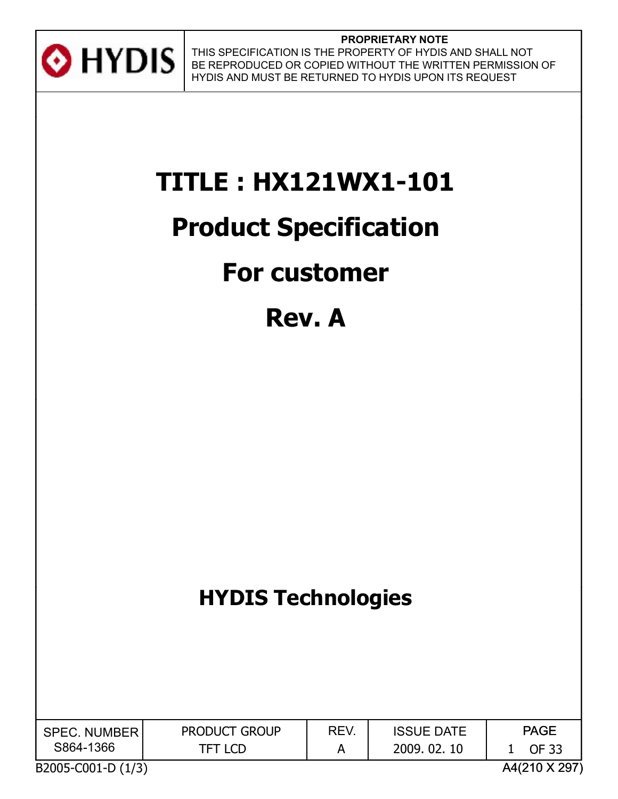

# **TITLE : HX121WX1-101**

## **Product Specification**

## **For customer**

## **Rev. A**

## **HYDIS Technologies**

| <b>SPEC. NUMBER</b> | <b>PRODUCT GROUP</b> | REV. | <b>ISSUE DATE</b> | <b>PAGE</b> |
|---------------------|----------------------|------|-------------------|-------------|
| S864-1366           | TFT LCD              |      | 2009.02.<br>-10   | ገE 33       |

B2005-C001-D (1/3) A4(210 X 297)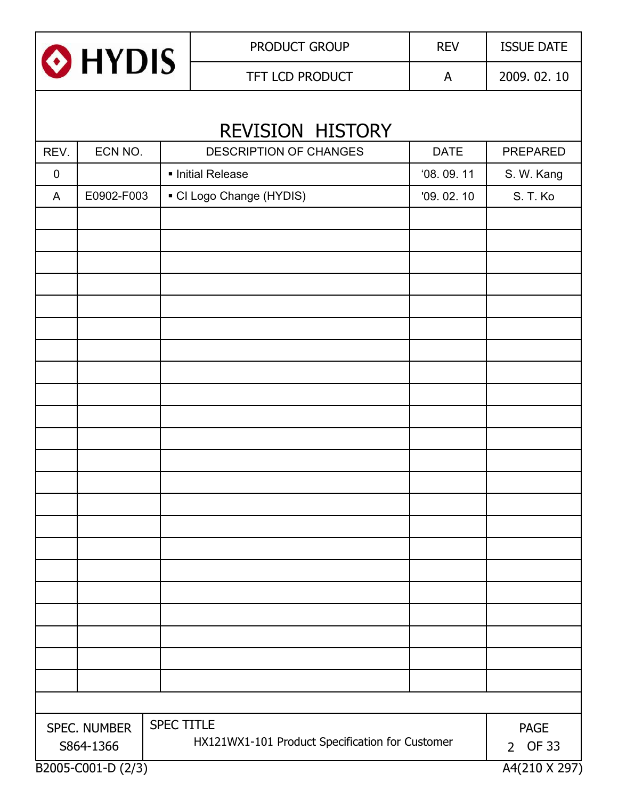

|           | REVISION HISTORY   |                                                 |             |                 |  |  |  |
|-----------|--------------------|-------------------------------------------------|-------------|-----------------|--|--|--|
| REV.      | ECN NO.            | <b>DESCRIPTION OF CHANGES</b>                   | <b>DATE</b> | <b>PREPARED</b> |  |  |  |
| $\pmb{0}$ |                    | · Initial Release                               | 08.09.11    | S. W. Kang      |  |  |  |
| A         | E0902-F003         | • CI Logo Change (HYDIS)                        | '09.02.10   | S. T. Ko        |  |  |  |
|           |                    |                                                 |             |                 |  |  |  |
|           |                    |                                                 |             |                 |  |  |  |
|           |                    |                                                 |             |                 |  |  |  |
|           |                    |                                                 |             |                 |  |  |  |
|           |                    |                                                 |             |                 |  |  |  |
|           |                    |                                                 |             |                 |  |  |  |
|           |                    |                                                 |             |                 |  |  |  |
|           |                    |                                                 |             |                 |  |  |  |
|           |                    |                                                 |             |                 |  |  |  |
|           |                    |                                                 |             |                 |  |  |  |
|           |                    |                                                 |             |                 |  |  |  |
|           |                    |                                                 |             |                 |  |  |  |
|           |                    |                                                 |             |                 |  |  |  |
|           |                    |                                                 |             |                 |  |  |  |
|           |                    |                                                 |             |                 |  |  |  |
|           |                    |                                                 |             |                 |  |  |  |
|           |                    |                                                 |             |                 |  |  |  |
|           |                    |                                                 |             |                 |  |  |  |
|           |                    |                                                 |             |                 |  |  |  |
|           |                    |                                                 |             |                 |  |  |  |
|           |                    |                                                 |             |                 |  |  |  |
|           |                    |                                                 |             |                 |  |  |  |
|           | SPEC. NUMBER       | <b>SPEC TITLE</b>                               |             | <b>PAGE</b>     |  |  |  |
|           | S864-1366          | HX121WX1-101 Product Specification for Customer |             | 2 OF 33         |  |  |  |
|           | B2005-C001-D (2/3) |                                                 |             | A4(210 X 297)   |  |  |  |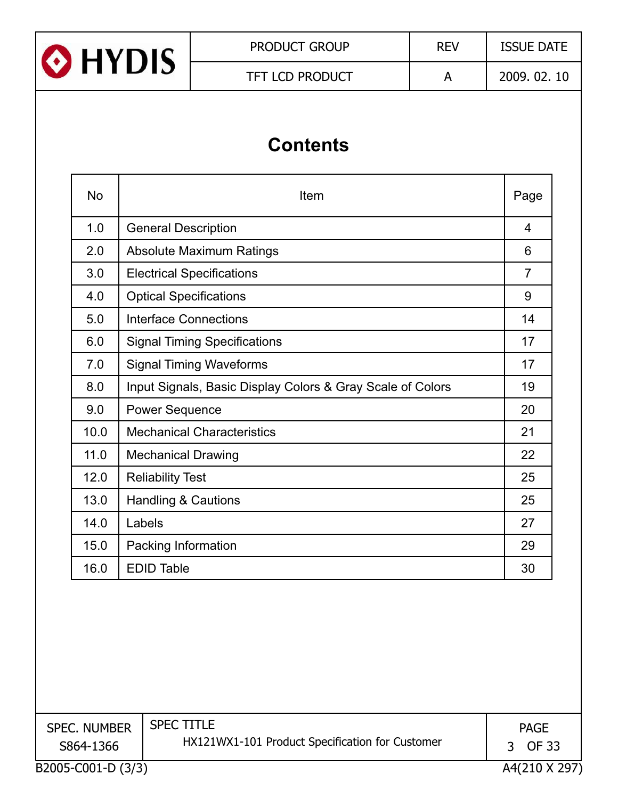

## **Contents**

| <b>No</b> | Item                                                       | Page           |
|-----------|------------------------------------------------------------|----------------|
| 1.0       | <b>General Description</b>                                 | 4              |
| 2.0       | <b>Absolute Maximum Ratings</b>                            | 6              |
| 3.0       | <b>Electrical Specifications</b>                           | $\overline{7}$ |
| 4.0       | <b>Optical Specifications</b>                              | 9              |
| 5.0       | <b>Interface Connections</b>                               | 14             |
| 6.0       | <b>Signal Timing Specifications</b>                        | 17             |
| 7.0       | <b>Signal Timing Waveforms</b>                             | 17             |
| 8.0       | Input Signals, Basic Display Colors & Gray Scale of Colors | 19             |
| 9.0       | <b>Power Sequence</b>                                      | 20             |
| 10.0      | <b>Mechanical Characteristics</b>                          | 21             |
| 11.0      | <b>Mechanical Drawing</b>                                  | 22             |
| 12.0      | <b>Reliability Test</b>                                    | 25             |
| 13.0      | <b>Handling &amp; Cautions</b>                             | 25             |
| 14.0      | Labels                                                     | 27             |
| 15.0      | Packing Information                                        | 29             |
| 16.0      | <b>EDID Table</b>                                          | 30             |
|           |                                                            |                |

B2005-C001-D (3/3) A4(210 X 297) SPEC. NUMBER S864-1366 SPEC TITLE HX121WX1-101 Product Specification for Customer PAGE 3 OF 33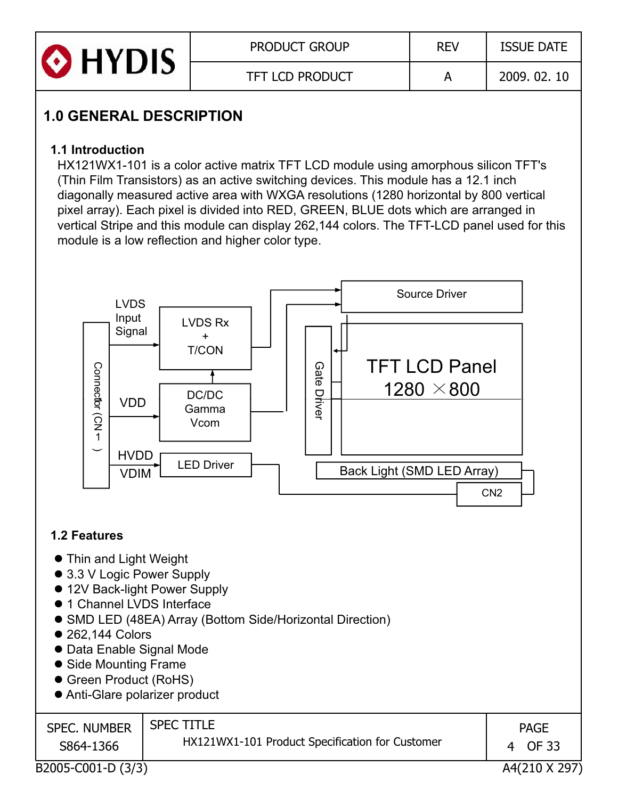

## **1 0 GENERAL DESCRIPTION 1.0**

#### **1.1 Introduction**

HX121WX1-101 is a color active matrix TFT LCD module using amorphous silicon TFT's (Thin Film Transistors) as an active switching devices. This module has a 12.1 inch diagonally measured active area with WXGA resolutions (1280 horizontal by 800 vertical pixel array). Each pixel is divided into RED, GREEN, BLUE dots which are arranged in vertical Stripe and this module can display 262,144 colors. The TFT-LCD panel used for this module is a low reflection and higher color type.



#### **1.2 Features**

- Thin and Light Weight
- 3.3 V Logic Power Supply
- 12V Back-light Power Supply
- $\bullet$  1 Channel LVDS Interface
- SMD LED (48EA) Array (Bottom Side/Horizontal Direction)
- $\bullet$  262.144 Colors
- Data Enable Signal Mode
- Side Mounting Frame
- Green Product (RoHS)
- Anti-Glare polarizer product

| <b>SPEC. NUMBER</b> | <b>SPEC TITLE</b><br>HX121WX1-101 Product Specification for Customer | <b>PAGE</b> |
|---------------------|----------------------------------------------------------------------|-------------|
| S864-1366           |                                                                      | OF 33       |

B2005-C001-D (3/3) A4(210 X 297)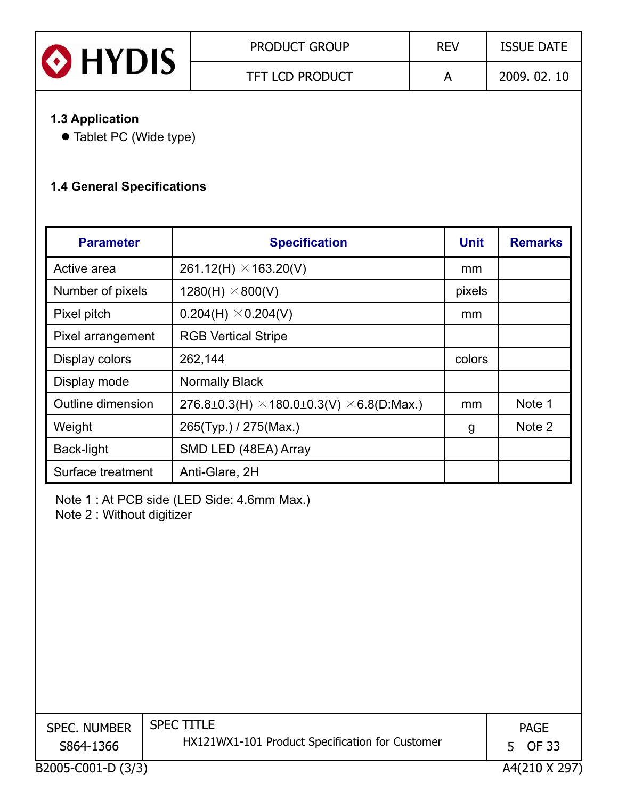| <b>O</b> HYDIS | <b>PRODUCT GROUP</b>   | <b>REV</b> | <b>ISSUE DATE</b> |
|----------------|------------------------|------------|-------------------|
|                | <b>TFT LCD PRODUCT</b> |            | 2009, 02, 10      |

#### **1 3 Application 1.3**

• Tablet PC (Wide type)

#### **1.4 General Specifications**

| <b>Parameter</b>  | <b>Specification</b>                                    | <b>Unit</b> | <b>Remarks</b> |
|-------------------|---------------------------------------------------------|-------------|----------------|
| Active area       | 261.12(H) $\times$ 163.20(V)                            | mm          |                |
| Number of pixels  | $1280(H) \times 800(V)$                                 | pixels      |                |
| Pixel pitch       | $0.204(H) \times 0.204(V)$                              | mm          |                |
| Pixel arrangement | <b>RGB Vertical Stripe</b>                              |             |                |
| Display colors    | 262,144                                                 | colors      |                |
| Display mode      | <b>Normally Black</b>                                   |             |                |
| Outline dimension | 276.8±0.3(H) $\times$ 180.0±0.3(V) $\times$ 6.8(D:Max.) | mm          | Note 1         |
| Weight            | 265(Typ.) / 275(Max.)                                   | g           | Note 2         |
| Back-light        | SMD LED (48EA) Array                                    |             |                |
| Surface treatment | Anti-Glare, 2H                                          |             |                |

Note 1 : At PCB side (LED Side: 4.6mm Max.) Note 2 : Without digitizer

| <b>SPEC. NUMBER</b><br>S864-1366 | <b>SPEC TITLE</b><br>HX121WX1-101 Product Specification for Customer | <b>PAGE</b><br>OF 33<br>5. |
|----------------------------------|----------------------------------------------------------------------|----------------------------|
| B2005-C001-D (3/3)               |                                                                      | A4(210 X 297)              |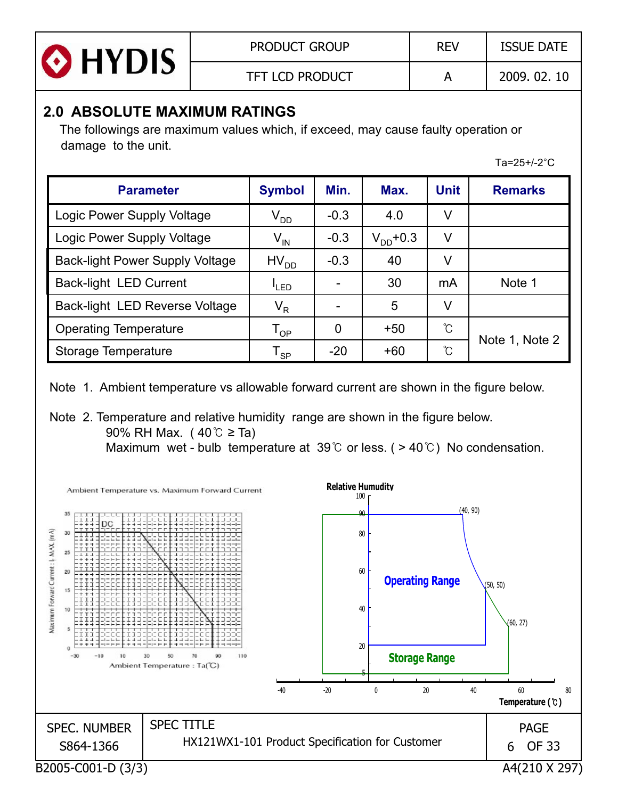| <b>O</b> HYDIS | <b>PRODUCT GROUP</b>   | <b>REV</b> | <b>ISSUE DATE</b> |
|----------------|------------------------|------------|-------------------|
|                | <b>TFT LCD PRODUCT</b> |            | 2009.02.10        |

### **2.0 ABSOLUTE MAXIMUM RATINGS**

The followings are maximum values which, if exceed, may cause faulty operation or damage to the unit.

Ta= $25+/-2$ °C

| <b>Parameter</b>                       | <b>Symbol</b>           | Min.   | Max.          | <b>Unit</b>          | <b>Remarks</b> |
|----------------------------------------|-------------------------|--------|---------------|----------------------|----------------|
| Logic Power Supply Voltage             | $\rm V_{DD}$            | $-0.3$ | 4.0           | V                    |                |
| Logic Power Supply Voltage             | $V_{IN}$                | $-0.3$ | $V_{DD}$ +0.3 | V                    |                |
| <b>Back-light Power Supply Voltage</b> | $HV_{DD}$               | $-0.3$ | 40            | V                    |                |
| <b>Back-light LED Current</b>          | <sup>I</sup> LED        |        | 30            | mA                   | Note 1         |
| Back-light LED Reverse Voltage         | $\mathsf{V}_\mathsf{R}$ |        | 5             | V                    |                |
| <b>Operating Temperature</b>           | ${\tt T_{OP}}$          | 0      | $+50$         | $\mathrm{C}^{\circ}$ |                |
| <b>Storage Temperature</b>             | <b>SP</b>               | $-20$  | $+60$         | ົໂ                   | Note 1, Note 2 |

Note 1. Ambient temperature vs allowable forward current are shown in the figure below.

Note 2. Temperature and relative humidity range are shown in the figure below. 90% RH Max. ( $40^{\circ}$   $\geq$  Ta) Maximum wet - bulb temperature at 39  $\degree$  or less. ( > 40  $\degree$  ) No condensation.

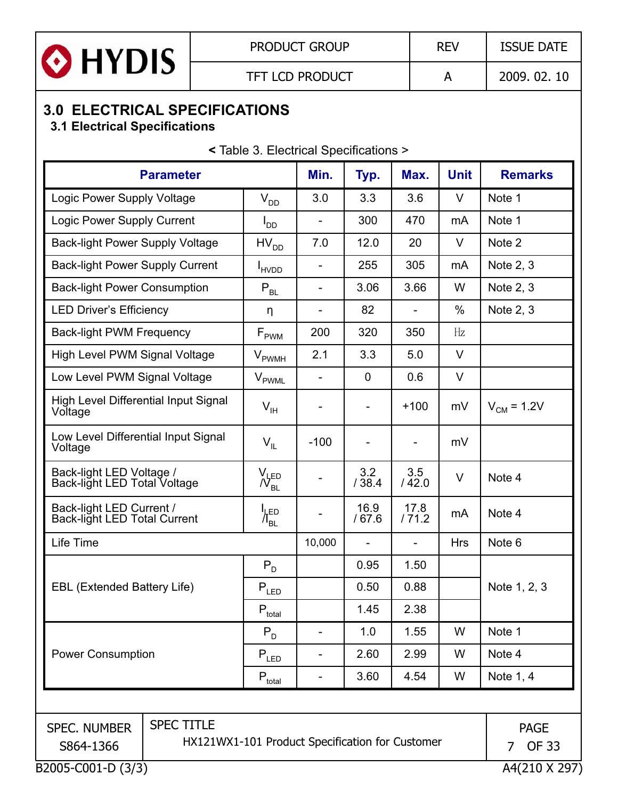

## **3.0 ELECTRICAL SPECIFICATIONS**

#### **3.1 Electrical Specifications**

**<** Table 3. Electrical Specifications >

| <b>Parameter</b>                                                                                                                                          |                                                 | Min.                         | Typ.           | Max.                     | <b>Unit</b>   | <b>Remarks</b>    |
|-----------------------------------------------------------------------------------------------------------------------------------------------------------|-------------------------------------------------|------------------------------|----------------|--------------------------|---------------|-------------------|
| Logic Power Supply Voltage                                                                                                                                | $V_{DD}$                                        | 3.0                          | 3.3            | 3.6                      | $\vee$        | Note 1            |
| Logic Power Supply Current                                                                                                                                | $I_{DD}$                                        | $\qquad \qquad \blacksquare$ | 300            | 470                      | mA            | Note 1            |
| <b>Back-light Power Supply Voltage</b>                                                                                                                    | $HV_{DD}$                                       | 7.0                          | 12.0           | 20                       | $\vee$        | Note 2            |
| <b>Back-light Power Supply Current</b>                                                                                                                    | <b>I</b> HVDD                                   |                              | 255            | 305                      | mA            | Note 2, 3         |
| <b>Back-light Power Consumption</b>                                                                                                                       | $P_{BL}$                                        | $\overline{a}$               | 3.06           | 3.66                     | W             | Note 2, 3         |
| <b>LED Driver's Efficiency</b>                                                                                                                            | η                                               | $\qquad \qquad \blacksquare$ | 82             | $\qquad \qquad -$        | $\frac{0}{0}$ | Note 2, 3         |
| <b>Back-light PWM Frequency</b>                                                                                                                           | $F_{\rm PWM}$                                   | 200                          | 320            | 350                      | Hz            |                   |
| High Level PWM Signal Voltage                                                                                                                             | <b>V</b> <sub>PWMH</sub>                        | 2.1                          | 3.3            | 5.0                      | $\vee$        |                   |
| Low Level PWM Signal Voltage                                                                                                                              | $V_{\sf{PWML}}$                                 | $\overline{\phantom{a}}$     | $\overline{0}$ | 0.6                      | $\vee$        |                   |
| <b>High Level Differential Input Signal</b><br>Voltage                                                                                                    | $V_{\rm IH}$                                    | $\overline{a}$               | $\overline{a}$ | $+100$                   | mV            | $V_{CM} = 1.2V$   |
| Low Level Differential Input Signal<br>Voltage                                                                                                            | $V_{IL}$                                        | $-100$                       | $\overline{a}$ | $\overline{\phantom{a}}$ | mV            |                   |
| Back-light LED Voltage /<br>Back-light LED Total Voltage                                                                                                  | $\sqrt{\mathcal{N}_{BL}}$                       |                              | 3.2<br>/38.4   | 3.5<br>/42.0             | $\vee$        | Note 4            |
| Back-light LED Current /<br><b>Back-light LED Total Current</b>                                                                                           | ים.µ'<br>$\Lambda_{\scriptscriptstyle{\sf BL}}$ |                              | 16.9<br>/67.6  | 17.8<br>/71.2            | mA            | Note 4            |
| Life Time                                                                                                                                                 |                                                 | 10,000                       |                |                          | <b>Hrs</b>    | Note <sub>6</sub> |
|                                                                                                                                                           | $P_D$                                           |                              | 0.95           | 1.50                     |               |                   |
| <b>EBL (Extended Battery Life)</b>                                                                                                                        | $\mathsf{P}_{\mathsf{LED}}$                     |                              | 0.50           | 0.88                     |               | Note 1, 2, 3      |
|                                                                                                                                                           | $P_{total}$                                     |                              | 1.45           | 2.38                     |               |                   |
|                                                                                                                                                           | $P_D$                                           |                              | 1.0            | 1.55                     | W             | Note 1            |
| <b>Power Consumption</b>                                                                                                                                  | $P_{LED}$                                       |                              | 2.60           | 2.99                     | W             | Note 4            |
|                                                                                                                                                           | $P_{total}$                                     |                              | 3.60           | 4.54                     | W             | Note 1, 4         |
|                                                                                                                                                           |                                                 |                              |                |                          |               |                   |
| <b>SPEC TITLE</b><br><b>SPEC. NUMBER</b><br><b>PAGE</b><br>HX121WX1-101 Product Specification for Customer<br><b>OF 33</b><br>S864-1366<br>$\overline{7}$ |                                                 |                              |                |                          |               |                   |
| B2005-C001-D (3/3)                                                                                                                                        |                                                 |                              |                |                          |               | A4(210 X 297)     |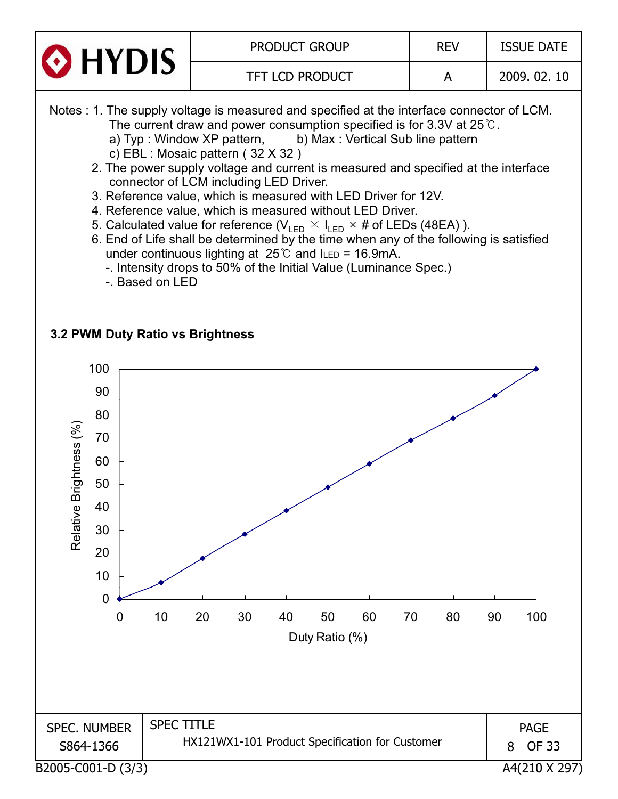



- 6. End of Life shall be determined by the time when any of the following is satisfied under continuous lighting at  $25^{\circ}$  and ILED = 16.9mA.
	- -. Intensity drops to 50% of the Initial Value (Luminance Spec.)
	- -. Based on LED

#### **3.2 PWM Duty Ratio vs Brightness**

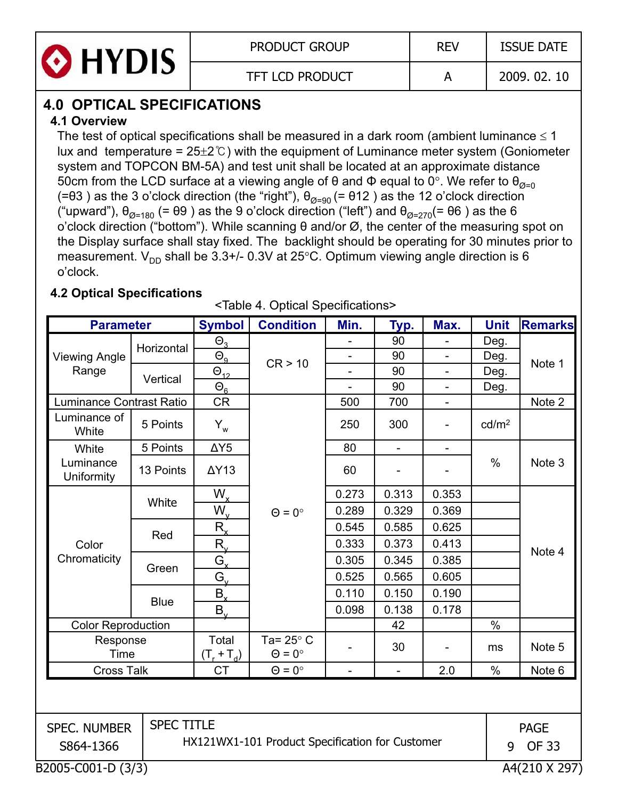

## **4.0 OPTICAL SPECIFICATIONS**

#### **41O i . verview**

The test of optical specifications shall be measured in a dark room (ambient luminance  $\leq 1$ lux and temperature =  $25\pm2\degree$ C) with the equipment of Luminance meter system (Goniometer system and TOPCON BM-5A) and test unit shall be located at an approximate distance 50cm from the LCD surface at a viewing angle of  $\theta$  and  $\Phi$  equal to 0°. We refer to  $\theta_{\alpha=0}$ (= $\theta$ 3) as the 3 o'clock direction (the "right"),  $\theta_{\alpha=90}$  (=  $\theta$ 12) as the 12 o'clock direction ("upward"),  $\theta_{\alpha=180}$  (=  $\theta$ 9) as the 9 o'clock direction ("left") and  $\theta_{\alpha=270}$ (=  $\theta$ 6) as the 6 o'clock direction ("bottom"). While scanning  $\theta$  and/or  $\varnothing$ , the center of the measuring spot on the Display surface shall stay fixed. The backlight should be operating for 30 minutes prior to measurement.  $V_{DD}$  shall be 3.3+/- 0.3V at 25°C. Optimum viewing angle direction is 6 o'clock.

#### **4.2 Optical Specifications**

<Table 4. Optical Specifications>

| <b>Parameter</b>                    |                   | <b>Symbol</b>          | <b>Condition</b>                                | Min.                     | Typ.                     | Max.                     | <b>Unit</b>       | <b>Remarks</b> |
|-------------------------------------|-------------------|------------------------|-------------------------------------------------|--------------------------|--------------------------|--------------------------|-------------------|----------------|
|                                     |                   | $\Theta$ <sub>3</sub>  |                                                 |                          | 90                       |                          | Deg.              |                |
| <b>Viewing Angle</b>                | Horizontal        | $\Theta_{9}$           | CR > 10                                         | $\overline{\phantom{0}}$ | 90                       |                          | Deg.              | Note 1         |
| Range                               | Vertical          | $\Theta_{12}$          |                                                 | $\overline{a}$           | 90                       | $\overline{\phantom{0}}$ | Deg.              |                |
|                                     |                   | $\Theta_{6}$           |                                                 |                          | 90                       |                          | Deg.              |                |
| <b>Luminance Contrast Ratio</b>     |                   | <b>CR</b>              |                                                 | 500                      | 700                      | $\overline{\phantom{0}}$ |                   | Note 2         |
| Luminance of<br>White               | 5 Points          | $Y_w$                  |                                                 | 250                      | 300                      |                          | cd/m <sup>2</sup> |                |
| White                               | 5 Points          | $\Delta Y5$            |                                                 | 80                       | $\blacksquare$           | $\overline{\phantom{0}}$ |                   |                |
| Luminance<br>Uniformity             | 13 Points         | $\Delta Y$ 13          |                                                 | 60                       | $\overline{\phantom{a}}$ |                          | $\%$              | Note 3         |
|                                     |                   | $W_{x}$                |                                                 | 0.273                    | 0.313                    | 0.353                    |                   |                |
|                                     | White             | $W_{v}$                | $\Theta = 0^{\circ}$                            | 0.289                    | 0.329                    | 0.369                    |                   |                |
|                                     |                   | $R_{x}$                |                                                 | 0.545                    | 0.585                    | 0.625                    |                   | Note 4         |
| Color                               | Red               | $R_{v}$                |                                                 | 0.333                    | 0.373                    | 0.413                    |                   |                |
| Chromaticity                        |                   | $G_{x}$                |                                                 | 0.305                    | 0.345                    | 0.385                    |                   |                |
|                                     | Green             | $G_{v}$                |                                                 | 0.525                    | 0.565                    | 0.605                    |                   |                |
|                                     |                   | $B_{x}$                |                                                 | 0.110                    | 0.150                    | 0.190                    |                   |                |
|                                     | <b>Blue</b>       | $B_{v}$                |                                                 | 0.098                    | 0.138                    | 0.178                    |                   |                |
| <b>Color Reproduction</b>           |                   |                        |                                                 |                          | 42                       |                          | $\frac{0}{0}$     |                |
| Response<br>Time                    |                   | Total<br>$(T_r + T_d)$ | Ta= $25^\circ$ C<br>$\Theta = 0^{\circ}$        |                          | 30                       |                          | ms                | Note 5         |
| <b>Cross Talk</b>                   |                   | <b>CT</b>              | $\Theta = 0^{\circ}$                            | $\overline{a}$           | $\blacksquare$           | 2.0                      | $\frac{0}{0}$     | Note 6         |
|                                     |                   |                        |                                                 |                          |                          |                          |                   |                |
| <b>SPEC. NUMBER</b>                 | <b>SPEC TITLE</b> |                        |                                                 |                          |                          |                          |                   | <b>PAGE</b>    |
| S864-1366                           |                   |                        | HX121WX1-101 Product Specification for Customer |                          |                          |                          | 9                 | <b>OF 33</b>   |
| B2005-C001-D (3/3)<br>A4(210 X 297) |                   |                        |                                                 |                          |                          |                          |                   |                |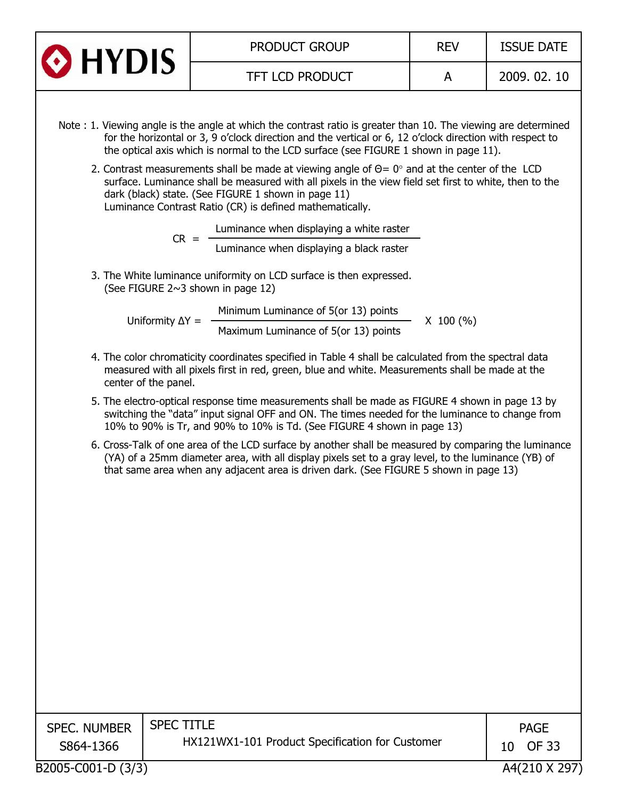| <b>O</b> HYDIS | <b>PRODUCT GROUP</b>   | <b>REV</b> | <b>ISSUE DATE</b> |
|----------------|------------------------|------------|-------------------|
|                | <b>TFT LCD PRODUCT</b> |            | 2009, 02, 10      |
|                |                        |            |                   |

- Note : 1. Viewing angle is the angle at which the contrast ratio is greater than 10. The viewing are determined for the horizontal or 3, 9 o'clock direction and the vertical or 6, 12 o'clock direction with respect to the optical axis which is normal to the LCD surface (see FIGURE 1 shown in page 11).
	- 2. Contrast measurements shall be made at viewing angle of  $\Theta = 0^{\circ}$  and at the center of the LCD surface. Luminance shall be measured with all pixels in the view field set first to white, then to the dark (black) state. (See FIGURE 1 shown in page 11) Luminance Contrast Ratio (CR) is defined mathematically.

Luminance when displaying a white raster

Luminance when displaying a black raster

3. The White luminance uniformity on LCD surface is then expressed. (See FIGURE 2~3 shown in page 12)

 $CR =$ 

Uniformity  $\Delta Y =$ Minimum Luminance of 5(or 13) points<br>Maximum Luminance of 5(or 13) points X 100 (%)

- 4. The color chromaticity coordinates specified in Table 4 shall be calculated from the spectral data measured with all pixels first in red, green, blue and white. Measurements shall be made at the center of the panel.
- 5. The electro-optical response time measurements shall be made as FIGURE 4 shown in page 13 by switching the "data" input signal OFF and ON. The times needed for the luminance to change from 10% to 90% is Tr, and 90% to 10% is Td. (See FIGURE 4 shown in page 13)
- 6. Cross-Talk of one area of the LCD surface by another shall be measured by comparing the luminance (YA) of a 25mm diameter area, with all display pixels set to a gray level, to the luminance (YB) of that same area when any adjacent area is driven dark. (See FIGURE 5 shown in page 13)

| <b>SPEC. NUMBER</b><br>S864-1366 | <b>SPEC TITLE</b><br>HX121WX1-101 Product Specification for Customer | <b>PAGE</b><br>OF 33<br>10 |
|----------------------------------|----------------------------------------------------------------------|----------------------------|
|                                  |                                                                      |                            |
| <b>BOOSE COOL B (0.19)</b>       |                                                                      | 1.10101010000              |

B2005-C001-D (3/3) A4(210 X 297)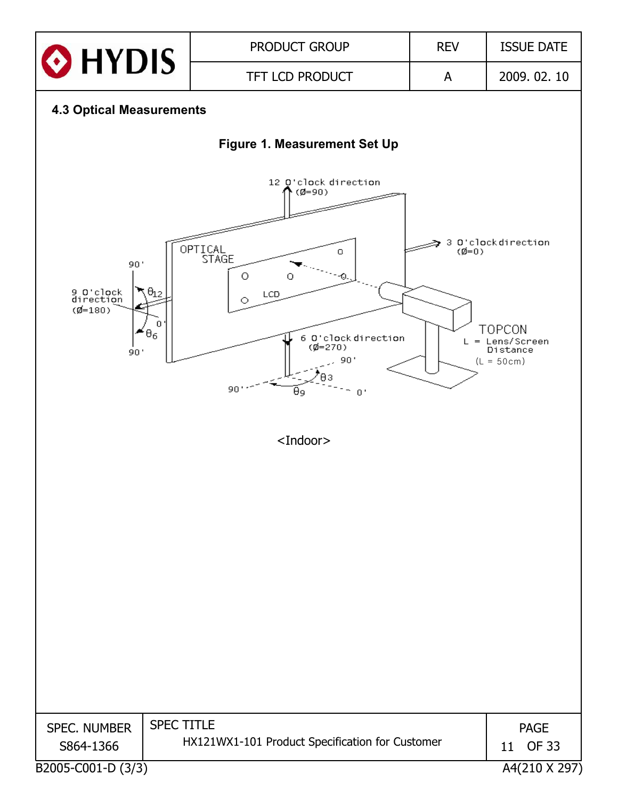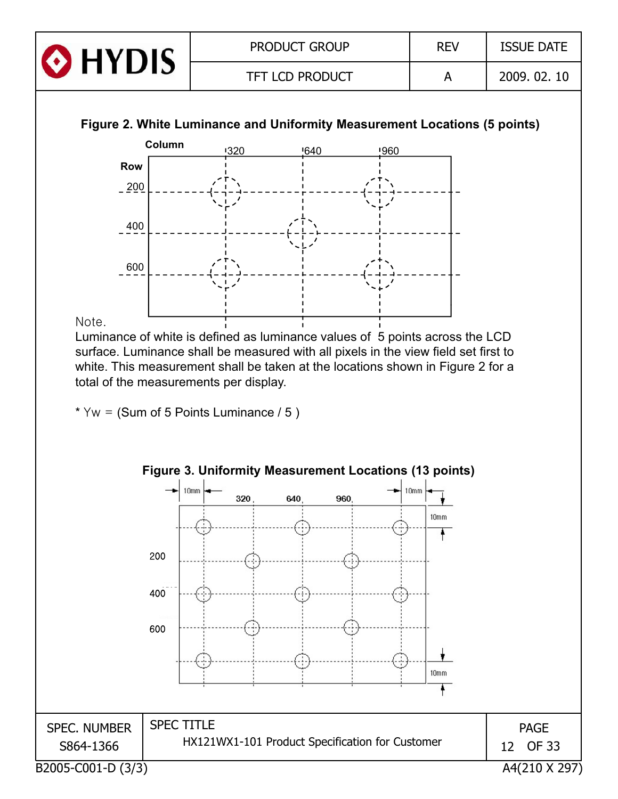| <b>O</b> HYDIS | <b>PRODUCT GROUP</b>   | <b>REV</b> | <b>ISSUE DATE</b> |
|----------------|------------------------|------------|-------------------|
|                | <b>TFT LCD PRODUCT</b> |            | 2009. 02. 10      |





#### Note.

Luminance of white is defined as luminance values of 5 points across the LCD surface. Luminance shall be measured with all pixels in the view field set first to white. This measurement shall be taken at the locations shown in Figure 2 for a total of the measurements per display.

\*  $Yw = (Sum of 5 Points Luminance / 5 )$ 

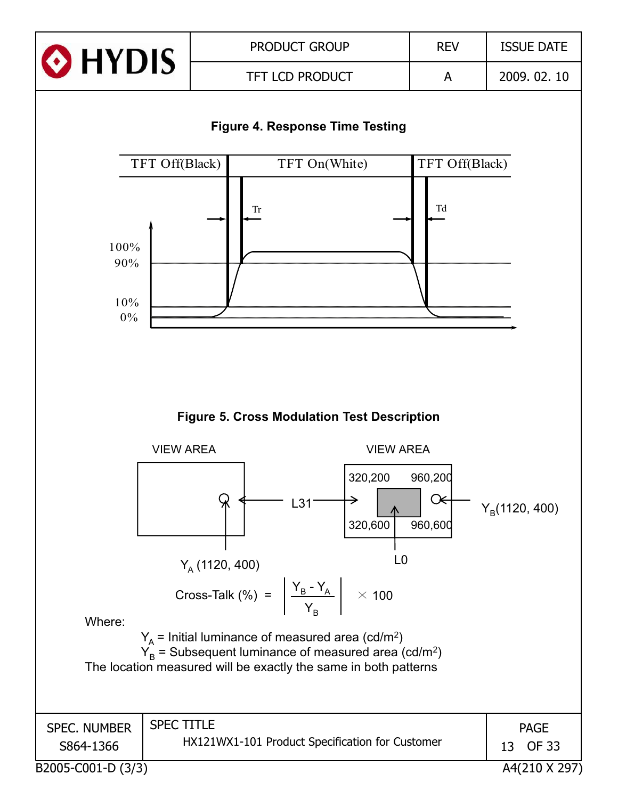

#### **Figure 4. Response Time Testing**



**Figure 5. Cross Modulation Test Description**

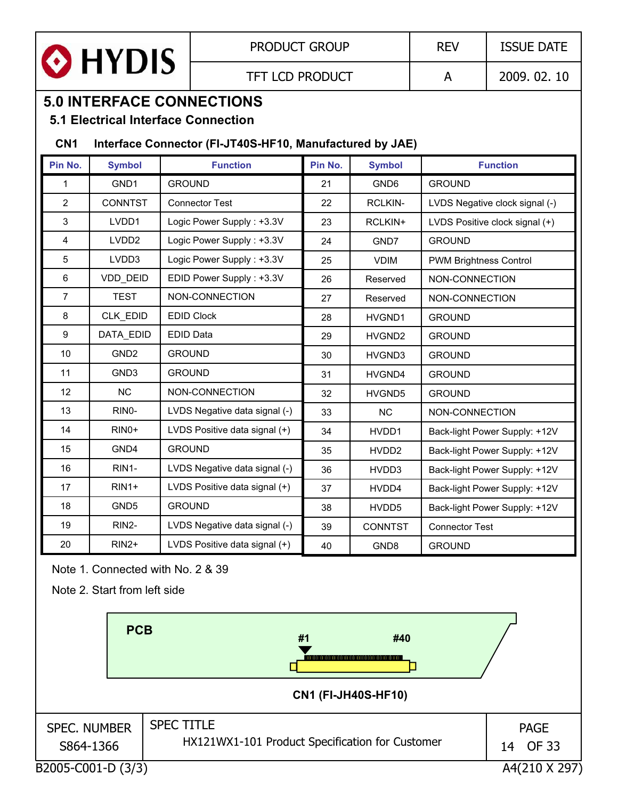

## **5.0 INTERFACE CONNECTIONS**

#### **5.1 Electrical Interface Connection**

#### **CN1 Interface Connector (FI-JT40S-HF10, Manufactured by JAE)**

| Pin No.        | <b>Symbol</b>      | <b>Function</b>               | Pin No. | <b>Symbol</b>     | <b>Function</b>                |
|----------------|--------------------|-------------------------------|---------|-------------------|--------------------------------|
| 1              | GND1               | <b>GROUND</b>                 | 21      | GND6              | <b>GROUND</b>                  |
| $\overline{2}$ | <b>CONNTST</b>     | <b>Connector Test</b>         | 22      | <b>RCLKIN-</b>    | LVDS Negative clock signal (-) |
| 3              | LVDD1              | Logic Power Supply: +3.3V     | 23      | RCLKIN+           | LVDS Positive clock signal (+) |
| 4              | LVDD <sub>2</sub>  | Logic Power Supply: +3.3V     | 24      | GND7              | <b>GROUND</b>                  |
| 5              | LVDD3              | Logic Power Supply: +3.3V     | 25      | <b>VDIM</b>       | <b>PWM Brightness Control</b>  |
| 6              | <b>VDD DEID</b>    | EDID Power Supply: +3.3V      | 26      | Reserved          | NON-CONNECTION                 |
| $\overline{7}$ | <b>TEST</b>        | NON-CONNECTION                | 27      | Reserved          | NON-CONNECTION                 |
| 8              | CLK EDID           | <b>EDID Clock</b>             | 28      | HVGND1            | <b>GROUND</b>                  |
| 9              | DATA EDID          | <b>EDID Data</b>              | 29      | HVGND2            | <b>GROUND</b>                  |
| 10             | GND <sub>2</sub>   | <b>GROUND</b>                 | 30      | HVGND3            | <b>GROUND</b>                  |
| 11             | GND <sub>3</sub>   | <b>GROUND</b>                 | 31      | HVGND4            | <b>GROUND</b>                  |
| 12             | NC                 | NON-CONNECTION                | 32      | HVGND5            | <b>GROUND</b>                  |
| 13             | RINO-              | LVDS Negative data signal (-) | 33      | <b>NC</b>         | NON-CONNECTION                 |
| 14             | RIN <sub>0</sub> + | LVDS Positive data signal (+) | 34      | HVDD1             | Back-light Power Supply: +12V  |
| 15             | GND4               | <b>GROUND</b>                 | 35      | HVDD2             | Back-light Power Supply: +12V  |
| 16             | RIN1-              | LVDS Negative data signal (-) | 36      | HVDD3             | Back-light Power Supply: +12V  |
| 17             | $RIN1+$            | LVDS Positive data signal (+) | 37      | HVDD4             | Back-light Power Supply: +12V  |
| 18             | GND <sub>5</sub>   | <b>GROUND</b>                 | 38      | HVDD <sub>5</sub> | Back-light Power Supply: +12V  |
| 19             | RIN2-              | LVDS Negative data signal (-) | 39      | <b>CONNTST</b>    | <b>Connector Test</b>          |
| 20             | $RIN2+$            | LVDS Positive data signal (+) | 40      | GND <sub>8</sub>  | <b>GROUND</b>                  |

Note 1. Connected with No. 2 & 39

Note 2. Start from left side

|                                  | <b>PCB</b> | #1<br>#40<br><b>CN1 (FI-JH40S-HF10)</b>                              |                            |
|----------------------------------|------------|----------------------------------------------------------------------|----------------------------|
| <b>SPEC. NUMBER</b><br>S864-1366 |            | <b>SPEC TITLE</b><br>HX121WX1-101 Product Specification for Customer | <b>PAGE</b><br>OF 33<br>14 |
| B2005-C001-D (3/3)               |            |                                                                      | A4(210 X 297)              |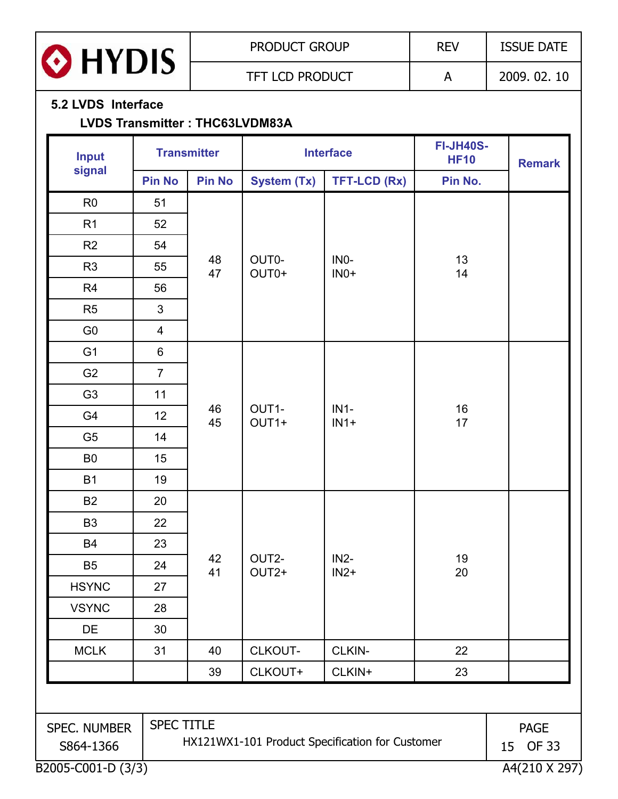| n.   |  |
|------|--|
| HYDI |  |
|      |  |

 $\Gamma$ 

#### **5.2 LVDS Interface**

#### **LVDS Transmitter : THC63LVDM83A**

| <b>Input</b>                                                                                                          |                | <b>Transmitter</b> | <b>Interface</b>           |                  | <b>FI-JH40S-</b><br><b>HF10</b> | <b>Remark</b> |
|-----------------------------------------------------------------------------------------------------------------------|----------------|--------------------|----------------------------|------------------|---------------------------------|---------------|
| signal                                                                                                                | <b>Pin No</b>  | <b>Pin No</b>      | System (Tx)                | TFT-LCD (Rx)     | Pin No.                         |               |
| R <sub>0</sub>                                                                                                        | 51             |                    |                            |                  |                                 |               |
| R <sub>1</sub>                                                                                                        | 52             |                    |                            |                  |                                 |               |
| R2                                                                                                                    | 54             |                    |                            |                  |                                 |               |
| R <sub>3</sub>                                                                                                        | 55             | 48<br>47           | OUT0-<br>OUT0+             | INO-<br>$INO+$   | 13<br>14                        |               |
| R <sub>4</sub>                                                                                                        | 56             |                    |                            |                  |                                 |               |
| R <sub>5</sub>                                                                                                        | $\mathfrak{S}$ |                    |                            |                  |                                 |               |
| G <sub>0</sub>                                                                                                        | $\overline{4}$ |                    |                            |                  |                                 |               |
| G <sub>1</sub>                                                                                                        | $6\phantom{a}$ |                    |                            |                  |                                 |               |
| G <sub>2</sub>                                                                                                        | $\overline{7}$ |                    |                            | $IN1-$<br>$IN1+$ | 16<br>17                        |               |
| G <sub>3</sub>                                                                                                        | 11             |                    |                            |                  |                                 |               |
| G4                                                                                                                    | 12             | 46<br>45           | OUT1-<br>OUT1+             |                  |                                 |               |
| G <sub>5</sub>                                                                                                        | 14             |                    |                            |                  |                                 |               |
| B <sub>0</sub>                                                                                                        | 15             |                    |                            |                  |                                 |               |
| <b>B1</b>                                                                                                             | 19             |                    |                            |                  |                                 |               |
| <b>B2</b>                                                                                                             | 20             |                    |                            |                  |                                 |               |
| <b>B3</b>                                                                                                             | 22             |                    |                            | $IN2-$<br>$IN2+$ | 19<br>20                        |               |
| <b>B4</b>                                                                                                             | 23             |                    |                            |                  |                                 |               |
| <b>B5</b>                                                                                                             | 24             | 42<br>41           | OUT2-<br>OUT <sub>2+</sub> |                  |                                 |               |
| <b>HSYNC</b>                                                                                                          | 27             |                    |                            |                  |                                 |               |
| <b>VSYNC</b>                                                                                                          | 28             |                    |                            |                  |                                 |               |
| DE                                                                                                                    | 30             |                    |                            |                  |                                 |               |
| <b>MCLK</b>                                                                                                           | 31             | 40                 | CLKOUT-                    | CLKIN-           | 22                              |               |
|                                                                                                                       |                | 39                 | CLKOUT+                    | CLKIN+           |                                 |               |
|                                                                                                                       |                |                    |                            |                  |                                 |               |
| SPEC TITLE<br>SPEC. NUMBER<br><b>PAGE</b><br>HX121WX1-101 Product Specification for Customer<br>S864-1366<br>15 OF 33 |                |                    |                            |                  |                                 |               |
| B2005-C001-D (3/3)                                                                                                    |                |                    |                            |                  |                                 | A4(210 X 297) |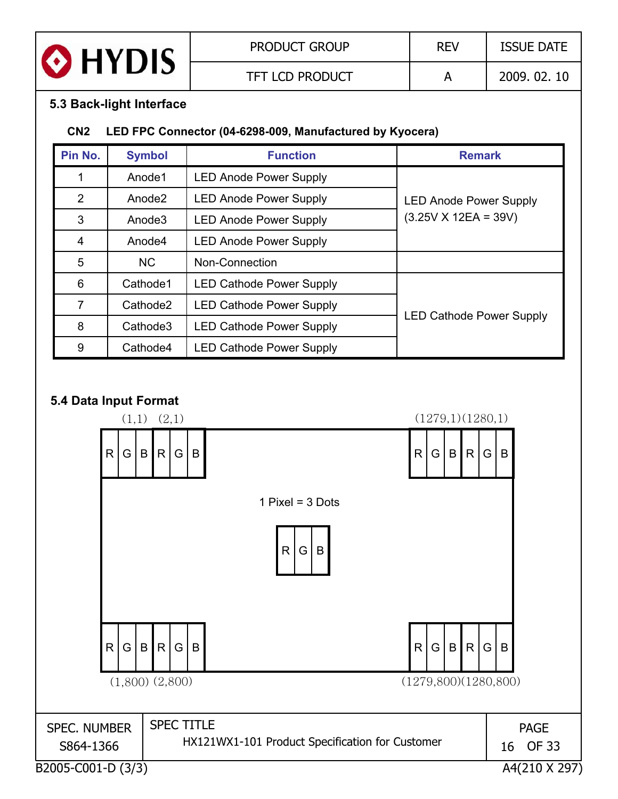| <b>O</b> HYDIS | <b>PRODUCT GROUP</b>   | <b>REV</b> | <b>ISSUE DATE</b> |
|----------------|------------------------|------------|-------------------|
|                | <b>TFT LCD PRODUCT</b> |            | 2009.02.10        |

#### **5.3 Back-light Interface**

#### **CN2 LED FPC Connector (04-6298-009, Manufactured by Kyocera)**

| Pin No.        | <b>Symbol</b>        | <b>Function</b>                 | <b>Remark</b>                   |
|----------------|----------------------|---------------------------------|---------------------------------|
|                | Anode1               | <b>LED Anode Power Supply</b>   |                                 |
| $\overline{2}$ | Anode <sub>2</sub>   | <b>LED Anode Power Supply</b>   | <b>LED Anode Power Supply</b>   |
| 3              | Anode3               | <b>LED Anode Power Supply</b>   | $(3.25V X 12EA = 39V)$          |
| $\overline{4}$ | Anode4               | <b>LED Anode Power Supply</b>   |                                 |
| 5              | <b>NC</b>            | Non-Connection                  |                                 |
| 6              | Cathode1             | <b>LED Cathode Power Supply</b> |                                 |
| 7              | Cathode <sub>2</sub> | <b>LED Cathode Power Supply</b> |                                 |
| 8              | Cathode3             | <b>LED Cathode Power Supply</b> | <b>LED Cathode Power Supply</b> |
| 9              | Cathode4             | <b>LED Cathode Power Supply</b> |                                 |

#### **5 4 Data Input Format 5.4**

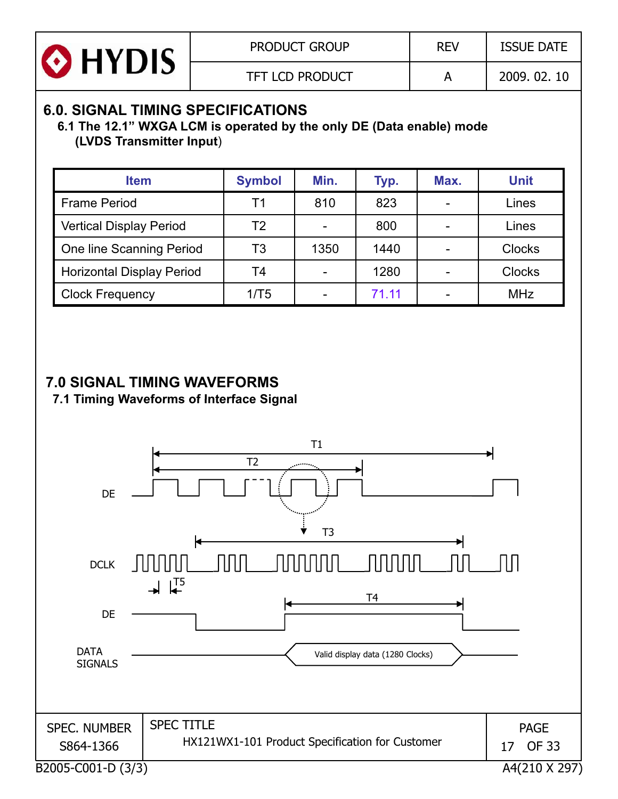| <b>O</b> HYDIS | <b>PRODUCT GROUP</b>   | <b>REV</b> | <b>ISSUE DATE</b> |
|----------------|------------------------|------------|-------------------|
|                | <b>TFT LCD PRODUCT</b> |            | 2009, 02, 10      |

## **6.0. SIGNAL TIMING SPECIFICATIONS**

**6.1 The 12.1" WXGA LCM is operated by the only DE (Data enable) mode (LVDS Transmitter Input**)

| <b>Item</b>                      | <b>Symbol</b> | Min. | Typ.  | Max.           | <b>Unit</b>   |
|----------------------------------|---------------|------|-------|----------------|---------------|
| <b>Frame Period</b>              | Τ1            | 810  | 823   |                | Lines         |
| <b>Vertical Display Period</b>   | T2            |      | 800   |                | Lines         |
| One line Scanning Period         | T3            | 1350 | 1440  | $\blacksquare$ | <b>Clocks</b> |
| <b>Horizontal Display Period</b> | T4            |      | 1280  |                | <b>Clocks</b> |
| <b>Clock Frequency</b>           | 1/T5          |      | 71.11 |                | <b>MHz</b>    |

## **7.0 SIGNAL TIMING WAVEFORMS**

**7 1 Timing Waveforms of Interface Signal 7.1 Interface Signal**

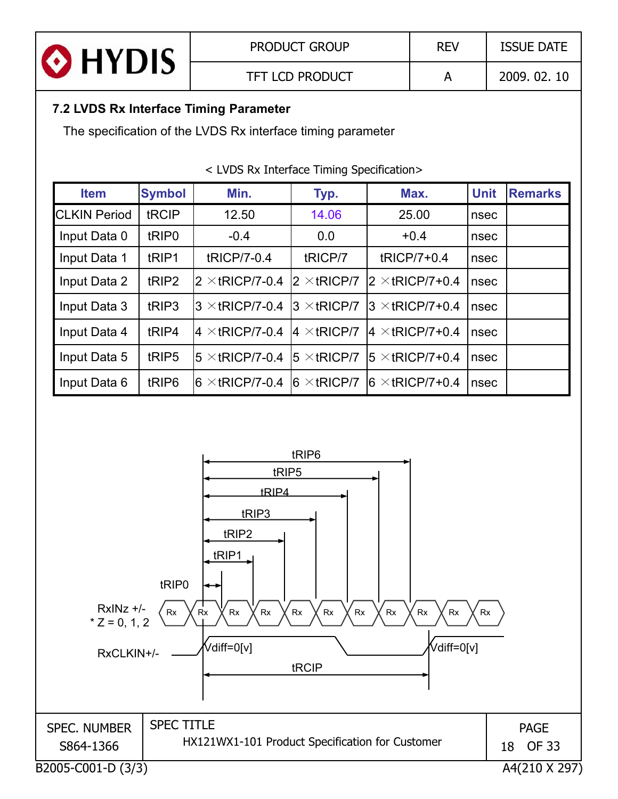| <b>O</b> HYDIS | <b>PRODUCT GROUP</b>   | <b>REV</b> | <b>ISSUE DATE</b> |
|----------------|------------------------|------------|-------------------|
|                | <b>TFT LCD PRODUCT</b> |            | 2009.02.10        |

#### **7.2 LVDS Rx Interface Timing Parameter**

The specification of the LVDS Rx interface timing parameter

| <b>Item</b>         | <b>Symbol</b>     | Min.                                          | Typ.                | Max.                    | <b>Unit</b> | <b>Remarks</b> |
|---------------------|-------------------|-----------------------------------------------|---------------------|-------------------------|-------------|----------------|
| <b>CLKIN Period</b> | tRCIP             | 12.50                                         | 14.06               | 25.00                   | nsec        |                |
| Input Data 0        | tRIP <sub>0</sub> | $-0.4$                                        | 0.0                 | $+0.4$                  | nsec        |                |
| Input Data 1        | tRIP1             | tRICP/7-0.4                                   | tRICP/7             | tRICP/7+0.4             | nsec        |                |
| Input Data 2        | tRIP <sub>2</sub> | $2 \times$ tRICP/7-0.4                        | $2 \times$ tRICP/7  | $2 \times$ tRICP/7+0.4  | nsec        |                |
| Input Data 3        | tRIP3             | $3 \times$ tRICP/7-0.4                        | $3 \times$ tRICP/7  | $3 \times$ tRICP/7+0.4  | nsec        |                |
| Input Data 4        | tRIP4             | $ 4 \times tR$ ICP/7-0.4 $ 4 \times tR$ ICP/7 |                     | $ 4 \times tRICP/7+0.4$ | nsec        |                |
| Input Data 5        | tRIP <sub>5</sub> | $5 \times$ tRICP/7-0.4                        | $15 \times tRICP/7$ | $15 \times$ tRICP/7+0.4 | nsec        |                |
| Input Data 6        | tRIP <sub>6</sub> | l6 $\times$ tRICP/7-0.4                       | $6 \times$ tRICP/7  | $6 \times$ tRICP/7+0.4  | nsec        |                |

< LVDS Rx Interface Timing Specification>

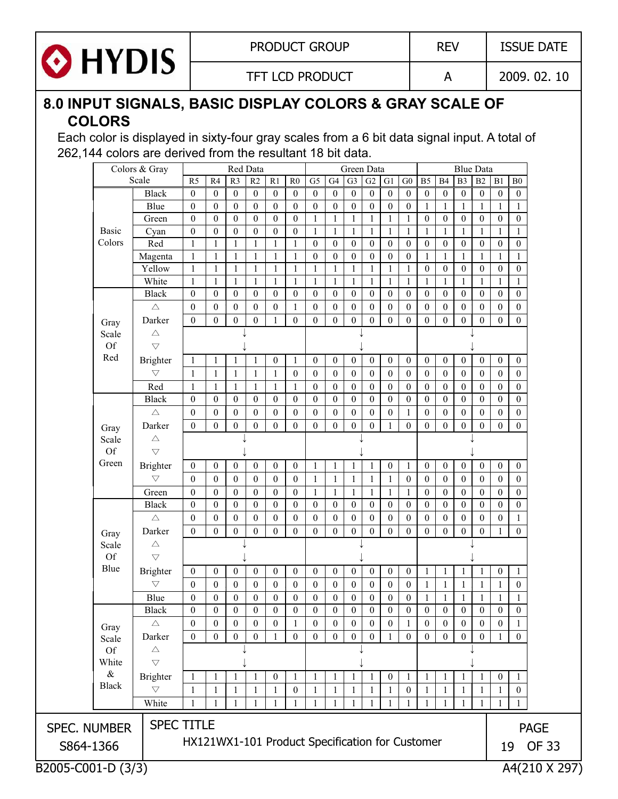

PRODUCT GROUP REV | ISSUE DATE

TFT LCD PRODUCT A 2009. 02. 10

## **8.0 INPUT SIGNALS, BASIC DISPLAY COLORS & GRAY SCALE OF COLORS**

Each color is displayed in sixty-four gray scales from a 6 bit data signal input. A total of 262,144 colors are derived from the resultant 18 bit data.

|                     | Colors & Gray        |                      |                                                 |                              | Red Data                     |                              |                              |                                  |                                  |                              | Green Data                           |                  |                                      |                                  |                                  |                              | <b>Blue Data</b>             |                   |                                     |                   |              |  |  |  |  |  |
|---------------------|----------------------|----------------------|-------------------------------------------------|------------------------------|------------------------------|------------------------------|------------------------------|----------------------------------|----------------------------------|------------------------------|--------------------------------------|------------------|--------------------------------------|----------------------------------|----------------------------------|------------------------------|------------------------------|-------------------|-------------------------------------|-------------------|--------------|--|--|--|--|--|
|                     |                      | Scale                | R <sub>5</sub>                                  | R4                           | R <sub>3</sub>               | $\overline{R2}$              | $\overline{R1}$              | R <sub>0</sub>                   | G <sub>5</sub>                   | G4                           | G <sub>3</sub>                       | G2               | G1                                   | ${\rm G0}$                       | B <sub>5</sub>                   | B4                           | B <sub>3</sub>               | B2                | B1                                  | ${\bf B0}$        |              |  |  |  |  |  |
|                     |                      | <b>Black</b>         | $\mathbf{0}$                                    | $\mathbf{0}$                 | $\mathbf{0}$                 | $\boldsymbol{0}$             | $\mathbf{0}$                 | $\mathbf{0}$                     | $\mathbf{0}$                     | $\mathbf{0}$                 | $\overline{0}$                       | $\theta$         | $\mathbf{0}$                         | $\mathbf{0}$                     | $\mathbf{0}$                     | $\mathbf{0}$                 | $\mathbf{0}$                 | $\boldsymbol{0}$  | $\boldsymbol{0}$                    | $\mathbf{0}$      |              |  |  |  |  |  |
|                     |                      | Blue                 | $\mathbf{0}$                                    | $\mathbf{0}$                 | $\boldsymbol{0}$             | $\mathbf{0}$                 | $\mathbf{0}$                 | $\mathbf{0}$                     | $\boldsymbol{0}$                 | $\mathbf{0}$                 | $\boldsymbol{0}$                     | $\mathbf{0}$     | $\boldsymbol{0}$                     | $\boldsymbol{0}$                 | $\mathbf{1}$                     | $\mathbf{1}$                 | $\mathbf{1}$                 | $\mathbf{1}$      | $\mathbf{1}$                        | $\mathbf{1}$      |              |  |  |  |  |  |
|                     |                      | Green                | $\mathbf{0}$                                    | $\mathbf{0}$                 | $\boldsymbol{0}$             | $\mathbf{0}$                 | $\mathbf{0}$                 | $\mathbf{0}$                     | $\mathbf{1}$                     | $\mathbf{1}$                 | $\mathbf{1}$                         | $\mathbf{1}$     | $\mathbf{1}$                         | $\mathbf{1}$                     | $\boldsymbol{0}$                 | $\boldsymbol{0}$             | $\boldsymbol{0}$             | $\boldsymbol{0}$  | $\boldsymbol{0}$                    | $\mathbf{0}$      |              |  |  |  |  |  |
|                     | <b>Basic</b>         | Cyan                 | $\overline{0}$                                  | $\mathbf{0}$                 | $\boldsymbol{0}$             | $\mathbf{0}$                 | $\mathbf{0}$                 | $\boldsymbol{0}$                 | $\mathbf{1}$                     | $\mathbf{1}$                 | $\mathbf{1}$                         | 1                | $\mathbf{1}$                         | $\mathbf{1}$                     | $\mathbf{1}$                     | 1                            | $\mathbf{1}$                 | $\mathbf{1}$      | $\mathbf{1}$                        | 1                 |              |  |  |  |  |  |
|                     | Colors               | Red                  | $\mathbf{1}$                                    | 1                            | $\mathbf{1}$                 | $\mathbf{1}$                 | 1                            | $\mathbf{1}$                     | $\overline{0}$                   | $\mathbf{0}$                 | $\mathbf{0}$                         | $\theta$         | $\mathbf{0}$                         | $\mathbf{0}$                     | $\mathbf{0}$                     | $\mathbf{0}$                 | $\mathbf{0}$                 | $\mathbf{0}$      | $\mathbf{0}$                        | $\mathbf{0}$      |              |  |  |  |  |  |
|                     |                      | Magenta              | $\mathbf{1}$                                    | $\mathbf{1}$                 | $\mathbf{1}$                 | 1                            | $\mathbf{1}$                 | $\mathbf{1}$                     | $\mathbf{0}$                     | $\mathbf{0}$                 | $\boldsymbol{0}$                     | $\mathbf{0}$     | $\boldsymbol{0}$                     | $\mathbf{0}$                     | $\mathbf{1}$                     | 1                            | $\mathbf{1}$                 | $\mathbf{1}$      | $\mathbf{1}$                        | $\mathbf{1}$      |              |  |  |  |  |  |
|                     |                      | Yellow               | $\mathbf{1}$                                    | $\mathbf{1}$                 | $\mathbf{1}$                 | $\mathbf{1}$                 | $\mathbf{1}$                 | $\mathbf{1}$                     | $\mathbf{1}$                     | 1                            | $\mathbf{1}$                         | 1                | $\mathbf{1}$                         | 1                                | $\boldsymbol{0}$                 | $\boldsymbol{0}$             | $\mathbf{0}$                 | $\boldsymbol{0}$  | $\boldsymbol{0}$                    | $\boldsymbol{0}$  |              |  |  |  |  |  |
|                     |                      | White                | $\mathbf{1}$                                    | $\mathbf{1}$                 | $\mathbf{1}$                 | 1                            | $\mathbf{1}$                 | $\mathbf{1}$                     | 1                                | $\mathbf{1}$                 | $\mathbf{1}$                         | 1                | $\mathbf{1}$                         | -1                               | $\mathbf{1}$                     | $\mathbf{1}$                 | $\mathbf{1}$                 | $\mathbf{1}$      | $\mathbf{1}$                        | $\mathbf{1}$      |              |  |  |  |  |  |
|                     |                      | <b>Black</b>         | $\mathbf{0}$                                    | $\mathbf{0}$                 | $\mathbf{0}$                 | $\mathbf{0}$                 | $\mathbf{0}$                 | $\mathbf{0}$                     | $\overline{0}$                   | $\mathbf{0}$                 | $\mathbf{0}$                         | $\theta$         | $\boldsymbol{0}$                     | $\mathbf{0}$                     | $\mathbf{0}$                     | $\mathbf{0}$                 | $\bf{0}$                     | $\mathbf{0}$      | $\mathbf{0}$                        | $\mathbf{0}$      |              |  |  |  |  |  |
|                     |                      | $\triangle$          | $\overline{0}$                                  | $\mathbf{0}$                 | $\mathbf{0}$                 | $\mathbf{0}$                 | $\mathbf{0}$                 | $\mathbf{1}$                     | $\overline{0}$                   | $\mathbf{0}$                 | $\mathbf{0}$                         | $\boldsymbol{0}$ | $\mathbf{0}$                         | $\mathbf{0}$                     | $\mathbf{0}$                     | $\mathbf{0}$                 | $\boldsymbol{0}$             | $\mathbf{0}$      | $\mathbf{0}$                        | $\mathbf{0}$      |              |  |  |  |  |  |
|                     | Gray                 | Darker               | $\overline{0}$                                  | $\boldsymbol{0}$             | $\boldsymbol{0}$             | $\boldsymbol{0}$             | $\mathbf{1}$                 | $\boldsymbol{0}$                 | $\boldsymbol{0}$                 | $\theta$                     | $\overline{0}$                       | $\boldsymbol{0}$ | $\overline{0}$                       | $\boldsymbol{0}$                 | $\mathbf{0}$                     | $\mathbf{0}$                 | $\overline{0}$               | $\boldsymbol{0}$  | $\boldsymbol{0}$                    | $\boldsymbol{0}$  |              |  |  |  |  |  |
|                     | Scale                | $\triangle$          |                                                 |                              |                              |                              |                              |                                  |                                  |                              |                                      |                  |                                      |                                  |                                  |                              |                              |                   |                                     |                   |              |  |  |  |  |  |
|                     | <b>Of</b>            | $\bigtriangledown$   |                                                 |                              |                              |                              |                              |                                  |                                  |                              |                                      |                  |                                      |                                  |                                  |                              |                              |                   |                                     |                   |              |  |  |  |  |  |
|                     | Red                  | Brighter             | 1                                               | $\mathbf{1}$                 | 1                            | -1                           | $\boldsymbol{0}$             | $\mathbf{1}$                     | $\boldsymbol{0}$                 | $\mathbf{0}$                 | $\boldsymbol{0}$                     | $\mathbf{0}$     | $\boldsymbol{0}$                     | $\boldsymbol{0}$                 | $\mathbf{0}$                     | $\mathbf{0}$                 | $\boldsymbol{0}$             | $\mathbf{0}$      | $\boldsymbol{0}$                    | $\boldsymbol{0}$  |              |  |  |  |  |  |
|                     |                      | $\triangledown$      | 1                                               | $\mathbf{1}$                 | $\mathbf{1}$                 | 1                            | $\mathbf{1}$                 | $\mathbf{0}$                     | $\overline{0}$                   | $\mathbf{0}$                 | $\mathbf{0}$                         | $\theta$         | $\boldsymbol{0}$                     | $\mathbf{0}$                     | $\mathbf{0}$                     | $\mathbf{0}$                 | $\mathbf{0}$                 | $\theta$          | $\mathbf{0}$                        | $\mathbf{0}$      |              |  |  |  |  |  |
|                     |                      | Red                  | $\mathbf{1}$                                    | $\mathbf{1}$                 | $\mathbf{1}$                 | $\mathbf{1}$                 | $\mathbf{1}$                 | $\mathbf{1}$                     | $\overline{0}$                   | $\boldsymbol{0}$             | $\boldsymbol{0}$                     | $\boldsymbol{0}$ | $\boldsymbol{0}$                     | $\boldsymbol{0}$                 | $\boldsymbol{0}$                 | $\boldsymbol{0}$             | $\boldsymbol{0}$             | $\boldsymbol{0}$  | $\boldsymbol{0}$                    | $\boldsymbol{0}$  |              |  |  |  |  |  |
|                     |                      | <b>Black</b>         | $\mathbf{0}$                                    | $\mathbf{0}$                 | $\theta$                     | $\mathbf{0}$                 | $\mathbf{0}$                 | $\mathbf{0}$                     | $\overline{0}$                   | $\mathbf{0}$                 | $\theta$                             | $\mathbf{0}$     | $\mathbf{0}$                         | $\mathbf{0}$                     | $\mathbf{0}$                     | $\mathbf{0}$                 | $\mathbf{0}$                 | $\mathbf{0}$      | $\boldsymbol{0}$                    | $\mathbf{0}$      |              |  |  |  |  |  |
|                     |                      | $\triangle$          | $\mathbf{0}$                                    | $\mathbf{0}$                 | $\boldsymbol{0}$             | $\mathbf{0}$                 | $\mathbf{0}$                 | $\mathbf{0}$                     | $\overline{0}$                   | $\theta$                     | $\theta$                             | $\mathbf{0}$     | $\boldsymbol{0}$                     | $\mathbf{1}$                     | $\boldsymbol{0}$                 | $\theta$                     | $\boldsymbol{0}$             | $\theta$          | $\theta$                            | $\mathbf{0}$      |              |  |  |  |  |  |
|                     | Gray                 | Darker               | $\mathbf{0}$                                    | $\mathbf{0}$                 | $\mathbf{0}$                 | $\mathbf{0}$                 | $\mathbf{0}$                 | $\mathbf{0}$                     | $\overline{0}$                   | $\mathbf{0}$                 | $\Omega$                             | $\mathbf{0}$     |                                      | $\mathbf{0}$                     | $\mathbf{0}$                     | $\mathbf{0}$                 | $\overline{0}$               | $\boldsymbol{0}$  | $\overline{0}$                      | $\mathbf{0}$      |              |  |  |  |  |  |
|                     | Scale                | $\triangle$          |                                                 |                              |                              |                              |                              |                                  |                                  |                              |                                      |                  |                                      |                                  |                                  |                              |                              |                   |                                     |                   |              |  |  |  |  |  |
|                     | Of                   | $\bigtriangledown$   |                                                 |                              |                              |                              |                              |                                  |                                  |                              |                                      |                  |                                      |                                  |                                  |                              |                              |                   |                                     |                   |              |  |  |  |  |  |
|                     | Green                | Brighter             | $\overline{0}$                                  | $\mathbf{0}$                 | $\mathbf{0}$                 | $\mathbf{0}$                 | $\bf{0}$                     | $\mathbf{0}$                     | $\mathbf{1}$                     | 1                            | $\mathbf{1}$                         | 1                | $\boldsymbol{0}$                     | $\mathbf{1}$                     | $\mathbf{0}$                     | $\mathbf{0}$                 | $\boldsymbol{0}$             | $\mathbf{0}$      | $\boldsymbol{0}$                    | $\boldsymbol{0}$  |              |  |  |  |  |  |
|                     |                      | $\triangledown$      | $\theta$                                        | $\theta$                     | $\mathbf{0}$                 | $\mathbf{0}$                 | $\mathbf{0}$                 | $\mathbf{0}$                     | $\mathbf{1}$                     | -1                           | $\mathbf{1}$                         | 1                | $\mathbf{1}$                         | $\boldsymbol{0}$                 | $\theta$                         | $\theta$                     | $\boldsymbol{0}$             | $\mathbf{0}$      | $\boldsymbol{0}$                    | $\mathbf{0}$      |              |  |  |  |  |  |
|                     |                      | Green                | $\boldsymbol{0}$                                | $\bf{0}$                     | $\boldsymbol{0}$             | $\bf{0}$                     | $\bf{0}$                     | $\theta$                         | $\mathbf{1}$                     | -1                           | $\mathbf{1}$                         | 1                | $\mathbf{1}$                         | -1                               | $\boldsymbol{0}$                 | $\boldsymbol{0}$             | $\boldsymbol{0}$             | $\bf{0}$          | $\boldsymbol{0}$                    | $\boldsymbol{0}$  |              |  |  |  |  |  |
|                     |                      | <b>Black</b>         | $\theta$                                        | $\mathbf{0}$                 | $\mathbf{0}$                 | $\mathbf{0}$                 | $\bf{0}$                     | $\mathbf{0}$                     | $\boldsymbol{0}$                 | $\boldsymbol{0}$             | $\boldsymbol{0}$                     | $\bf{0}$         | $\boldsymbol{0}$                     | $\boldsymbol{0}$                 | $\mathbf{0}$                     | $\boldsymbol{0}$             | $\mathbf{0}$                 | $\boldsymbol{0}$  | $\overline{0}$                      | $\boldsymbol{0}$  |              |  |  |  |  |  |
|                     |                      | $\triangle$          | $\mathbf{0}$                                    | $\bf{0}$                     | $\mathbf{0}$                 | $\mathbf{0}$                 | $\bf{0}$                     | $\mathbf{0}$                     | $\bf{0}$                         | $\mathbf{0}$                 | $\mathbf{0}$                         | $\boldsymbol{0}$ | $\boldsymbol{0}$                     | $\mathbf{0}$                     | $\mathbf{0}$                     | $\mathbf{0}$                 | $\boldsymbol{0}$             | $\boldsymbol{0}$  | $\boldsymbol{0}$                    | $\mathbf{1}$      |              |  |  |  |  |  |
|                     | Gray                 | Darker               | $\theta$                                        | $\theta$                     | $\theta$                     | $\theta$                     | $\theta$                     | $\mathbf{0}$                     | $\theta$                         | $\theta$                     | $\overline{0}$                       | $\theta$         | $\theta$                             | $\Omega$                         | $\theta$                         | $\theta$                     | $\mathbf{0}$                 | $\theta$          | $\mathbf{1}$                        | $\mathbf{0}$      |              |  |  |  |  |  |
|                     | Scale                | $\triangle$          |                                                 |                              |                              |                              |                              |                                  |                                  |                              |                                      |                  |                                      |                                  |                                  |                              |                              |                   |                                     |                   |              |  |  |  |  |  |
|                     | Of                   | $\bigtriangledown$   |                                                 |                              |                              |                              |                              |                                  |                                  |                              |                                      |                  |                                      |                                  |                                  |                              |                              |                   |                                     |                   |              |  |  |  |  |  |
|                     | Blue                 | Brighter             | $\overline{0}$                                  | $\mathbf{0}$                 | $\boldsymbol{0}$             | $\mathbf{0}$                 | $\mathbf{0}$                 | $\boldsymbol{0}$                 | $\mathbf{0}$                     | $\mathbf{0}$                 | $\boldsymbol{0}$                     | $\mathbf{0}$     | $\boldsymbol{0}$                     | $\boldsymbol{0}$                 | $\mathbf{1}$                     | $\mathbf{1}$                 | $\mathbf{1}$                 | $\mathbf{1}$      | $\boldsymbol{0}$                    | $\mathbf{1}$      |              |  |  |  |  |  |
|                     |                      | $\bigtriangledown$   | $\mathbf{0}$                                    | $\mathbf{0}$                 | $\mathbf{0}$                 | $\mathbf{0}$                 | $\mathbf{0}$                 | $\mathbf{0}$                     | $\overline{0}$                   | $\mathbf{0}$                 | $\mathbf{0}$                         | $\theta$         | $\mathbf{0}$                         | $\mathbf{0}$                     | $\mathbf{1}$                     | $\mathbf{1}$                 |                              |                   |                                     | $\mathbf{0}$      |              |  |  |  |  |  |
|                     |                      |                      |                                                 |                              |                              |                              |                              |                                  |                                  |                              |                                      |                  |                                      |                                  |                                  |                              | $\mathbf{1}$                 | $\mathbf{1}$      | $\mathbf{1}$                        |                   |              |  |  |  |  |  |
|                     |                      | Blue<br><b>Black</b> | $\mathbf{0}$<br>$\mathbf{0}$                    | $\mathbf{0}$<br>$\mathbf{0}$ | $\mathbf{0}$<br>$\mathbf{0}$ | $\mathbf{0}$<br>$\mathbf{0}$ | $\mathbf{0}$<br>$\mathbf{0}$ | $\boldsymbol{0}$<br>$\mathbf{0}$ | $\boldsymbol{0}$<br>$\mathbf{0}$ | $\boldsymbol{0}$<br>$\Omega$ | $\boldsymbol{0}$<br>$\boldsymbol{0}$ | 0<br>$\Omega$    | $\boldsymbol{0}$<br>$\boldsymbol{0}$ | $\boldsymbol{0}$<br>$\mathbf{0}$ | $\mathbf{1}$<br>$\boldsymbol{0}$ | $\mathbf{1}$<br>$\mathbf{0}$ | $\mathbf{1}$<br>$\mathbf{0}$ | 1<br>$\mathbf{0}$ | $\mathbf{1}$<br>$\mathbf{0}$        | 1<br>$\mathbf{0}$ |              |  |  |  |  |  |
|                     |                      | $\triangle$          | $\mathbf{0}$                                    | $\boldsymbol{0}$             | $\boldsymbol{0}$             | $\boldsymbol{0}$             | $\boldsymbol{0}$             | $\mathbf{1}$                     |                                  | $\bf{0}$                     | $\boldsymbol{0}$                     | $\mathbf{0}$     | $\boldsymbol{0}$                     |                                  | $\boldsymbol{0}$                 | $\boldsymbol{0}$             | $\boldsymbol{0}$             | $\boldsymbol{0}$  | $\boldsymbol{0}$                    |                   |              |  |  |  |  |  |
|                     | Gray                 |                      |                                                 |                              |                              |                              |                              |                                  | $\boldsymbol{0}$                 |                              |                                      |                  |                                      | -1                               |                                  |                              |                              |                   |                                     | $\mathbf{1}$      |              |  |  |  |  |  |
|                     | Scale                | Darker               | $\mathbf{0}$                                    | $\mathbf{0}$                 | $\overline{0}$               | $\mathbf{0}$                 |                              | $\boldsymbol{0}$                 | $\boldsymbol{0}$                 | $\theta$                     | $\overline{0}$                       | $\mathbf{0}$     |                                      | $\mathbf{0}$                     | $\boldsymbol{0}$                 | $\theta$                     | $\overline{0}$               | $\mathbf{0}$      |                                     | $\theta$          |              |  |  |  |  |  |
|                     | Of                   | $\triangle$          |                                                 |                              |                              |                              |                              |                                  |                                  |                              |                                      |                  |                                      |                                  |                                  |                              |                              |                   |                                     |                   |              |  |  |  |  |  |
|                     | White                | $\triangledown$      |                                                 |                              |                              |                              |                              |                                  |                                  |                              |                                      |                  |                                      |                                  |                                  |                              |                              |                   |                                     |                   |              |  |  |  |  |  |
|                     | $\&$<br><b>Black</b> | <b>Brighter</b>      | 1                                               | 1                            | 1                            |                              | $\boldsymbol{0}$             | 1                                | 1                                | -1                           |                                      |                  | $\boldsymbol{0}$                     | -1                               | 1                                | 1                            | 1                            | 1                 | $\boldsymbol{0}$                    | -1                |              |  |  |  |  |  |
|                     |                      | $\triangledown$      | $\mathbf{1}$                                    | $\mathbf{1}$                 | $\mathbf{1}$                 | $\mathbf{1}$                 | $\mathbf{1}$                 | $\boldsymbol{0}$                 | $\mathbf{1}$                     | $\mathbf{1}$                 |                                      | 1                | $\mathbf{1}$                         | $\boldsymbol{0}$                 | $\mathbf{1}$                     | $\mathbf{1}$                 | $\mathbf{1}$                 | $\mathbf{1}$      | $\mathbf{1}$                        | $\mathbf{0}$      |              |  |  |  |  |  |
|                     |                      | White                | $\mathbf{1}$                                    | 1                            | 1                            | 1                            | 1                            | $\mathbf{1}$                     | $\mathbf{1}$                     | $\mathbf{1}$                 | 1                                    | 1                | $\mathbf{1}$                         | 1                                | 1                                | 1                            | $\mathbf{1}$                 | $\mathbf{1}$      | $\mathbf{1}$                        | $\mathbf{1}$      |              |  |  |  |  |  |
|                     |                      | <b>SPEC TITLE</b>    |                                                 |                              |                              |                              |                              |                                  |                                  |                              |                                      |                  |                                      |                                  |                                  |                              |                              |                   |                                     |                   |              |  |  |  |  |  |
| <b>SPEC. NUMBER</b> |                      |                      |                                                 |                              |                              |                              |                              |                                  |                                  |                              |                                      |                  |                                      |                                  |                                  |                              |                              |                   |                                     |                   | <b>PAGE</b>  |  |  |  |  |  |
| S864-1366           |                      |                      | HX121WX1-101 Product Specification for Customer |                              |                              |                              |                              |                                  |                                  |                              |                                      |                  |                                      |                                  |                                  |                              |                              |                   | 19                                  |                   | <b>OF 33</b> |  |  |  |  |  |
|                     |                      |                      |                                                 |                              |                              |                              |                              |                                  |                                  |                              |                                      |                  |                                      |                                  |                                  |                              |                              |                   | B2005-C001-D (3/3)<br>A4(210 X 297) |                   |              |  |  |  |  |  |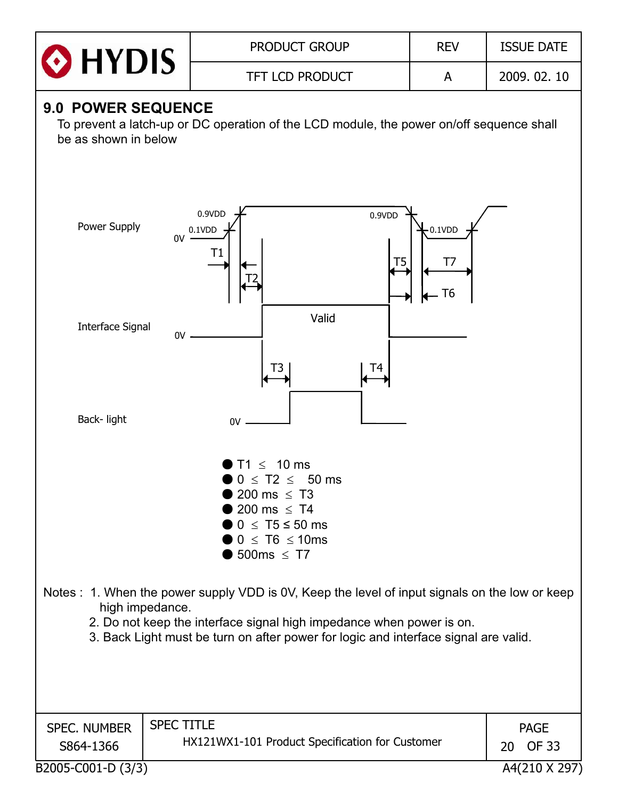| <b>O</b> HYDIS | <b>PRODUCT GROUP</b>   | <b>REV</b> | <b>ISSUE DATE</b> |
|----------------|------------------------|------------|-------------------|
|                | <b>TFT LCD PRODUCT</b> |            | 2009.02.10        |

## **9.0 POWER SEQUENCE**

To prevent a latch-up or DC operation of the LCD module, the power on/off sequence shall be as shown in below

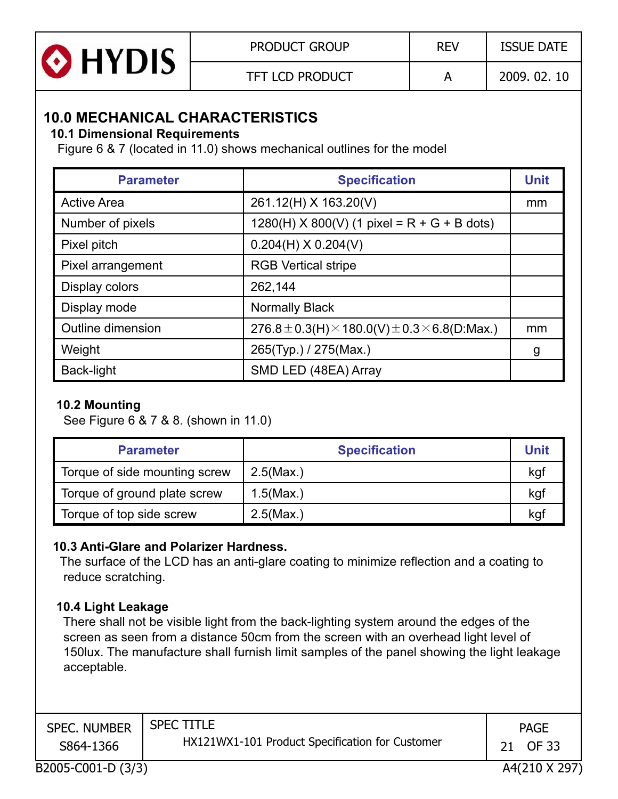| <b>O</b> HYDIS | <b>PRODUCT GROUP</b>   | <b>REV</b> | <b>ISSUE DATE</b> |
|----------------|------------------------|------------|-------------------|
|                | <b>TFT LCD PRODUCT</b> |            | 2009, 02, 10      |

## **10 0 MECHANICAL CHARACTERISTICS 10.0**

#### **10.1 Dimensional Requirements**

Figure 6 & 7 (located in 11.0) shows mechanical outlines for the model

| <b>Parameter</b>   | <b>Specification</b>                                        | <b>Unit</b> |
|--------------------|-------------------------------------------------------------|-------------|
| <b>Active Area</b> | 261.12(H) X 163.20(V)                                       | mm          |
| Number of pixels   | $1280(H)$ X 800(V) (1 pixel = R + G + B dots)               |             |
| Pixel pitch        | $0.204(H)$ X $0.204(V)$                                     |             |
| Pixel arrangement  | <b>RGB Vertical stripe</b>                                  |             |
| Display colors     | 262,144                                                     |             |
| Display mode       | <b>Normally Black</b>                                       |             |
| Outline dimension  | 276.8 ± 0.3(H) $\times$ 180.0(V) ± 0.3 $\times$ 6.8(D:Max.) | mm          |
| Weight             | 265(Typ.) / 275(Max.)                                       | g           |
| Back-light         | SMD LED (48EA) Array                                        |             |

#### **10.2 Mounting**

See Figure 6 & 7 & 8. (shown in 11.0)

| <b>Parameter</b>              | <b>Specification</b> | <b>Unit</b> |
|-------------------------------|----------------------|-------------|
| Torque of side mounting screw | $2.5$ (Max.)         | kgf         |
| Torque of ground plate screw  | 1.5(Max.)            | kgf         |
| Torque of top side screw      | $2.5$ (Max.)         | kgl         |

#### **10.3 Anti-Glare and Polarizer Hardness.**

The surface of the LCD has an anti-glare coating to minimize reflection and a coating to reduce scratching.

#### **10.4 Light Leakage**

There shall not be visible light from the back-lighting system around the edges of the screen as seen from a distance 50cm from the screen with an overhead light level of 150lux. The manufacture shall furnish limit samples of the panel showing the light leakage acceptable.

| <b>SPEC. NUMBER</b> | <b>SPEC TITLE</b>                               | <b>PAGE</b>        |
|---------------------|-------------------------------------------------|--------------------|
| S864-1366           | HX121WX1-101 Product Specification for Customer | OF 33              |
|                     |                                                 | 1.1011A 1.101A 1.1 |

B2005-C001-D (3/3) A4(210 X 297)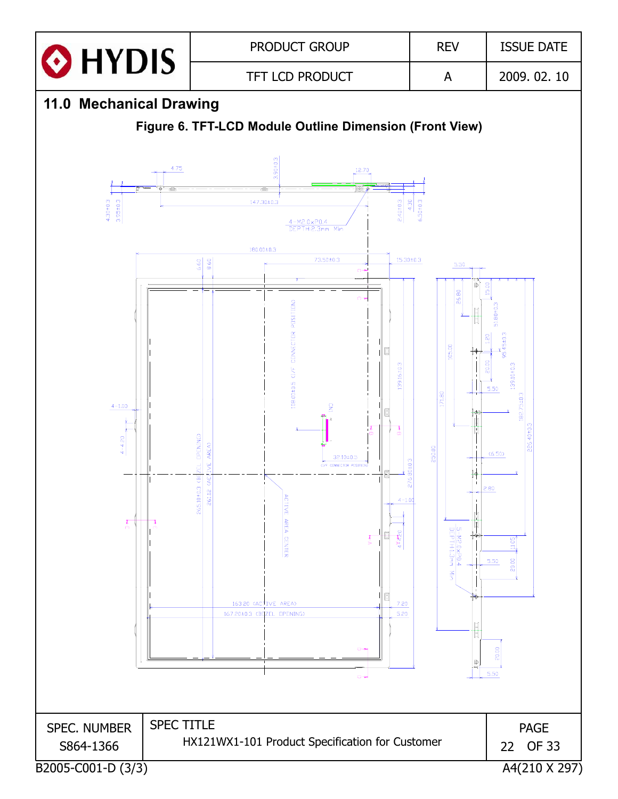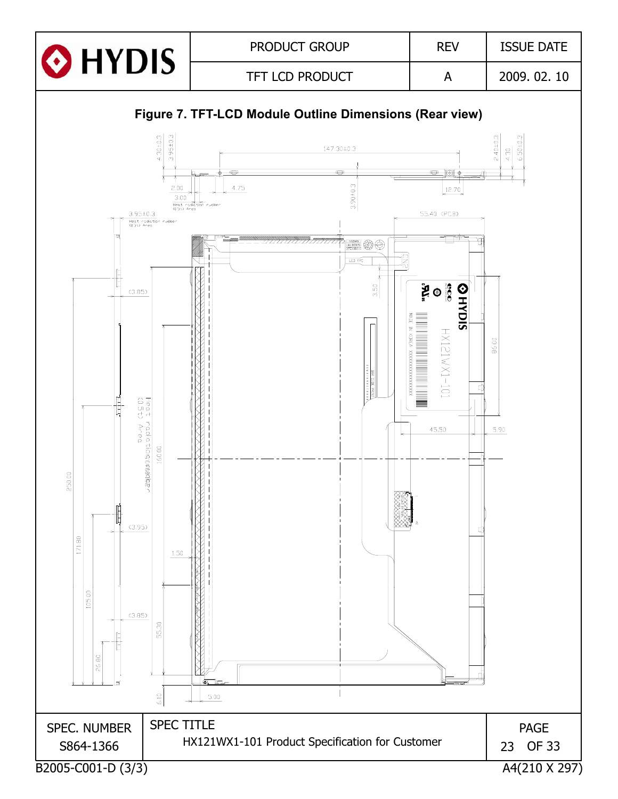

#### **Figure 7. TFT-LCD Module Outline Dimensions (Rear view)**

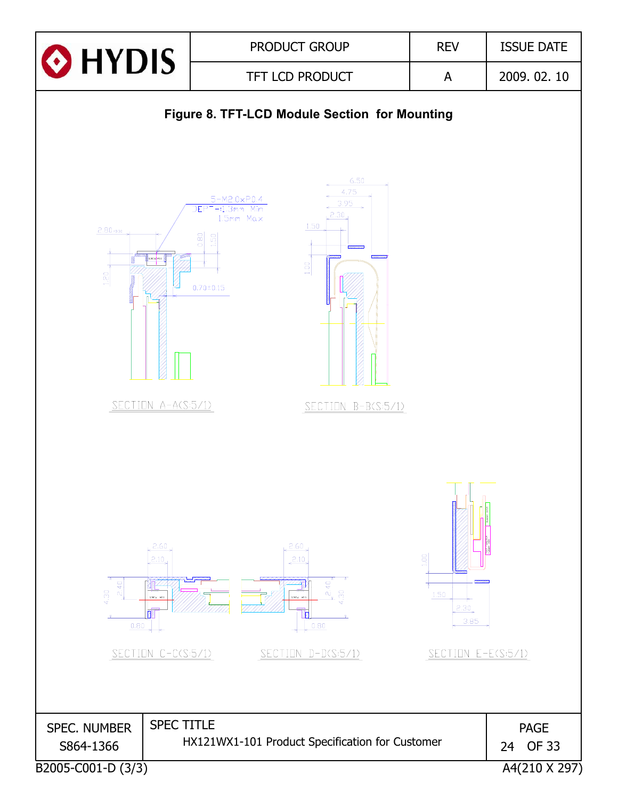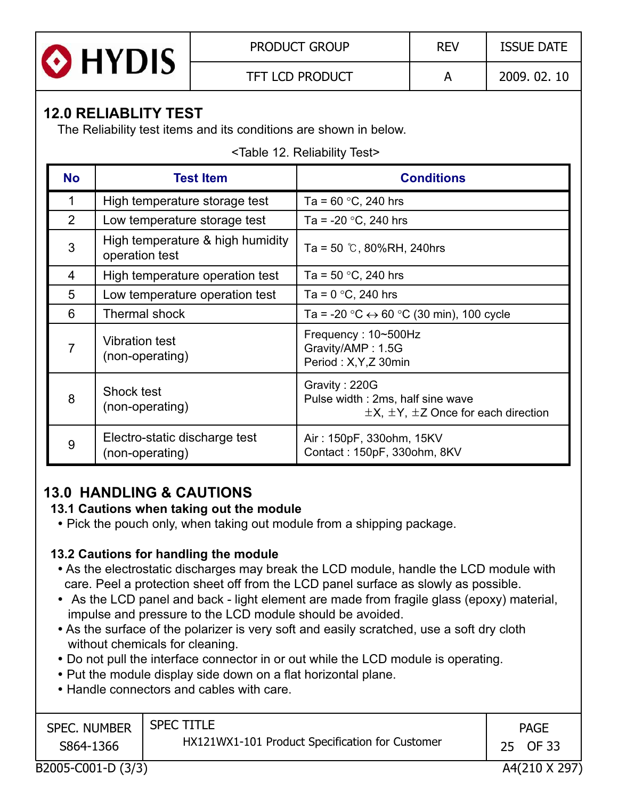

## **12.0 RELIABLITY TEST**

The Reliability test items and its conditions are shown in below.

|  | <table 12.="" reliability="" test=""></table> |  |
|--|-----------------------------------------------|--|
|  |                                               |  |

| <b>No</b>      | <b>Test Item</b>                                   | <b>Conditions</b>                                                                                      |  |  |  |  |  |
|----------------|----------------------------------------------------|--------------------------------------------------------------------------------------------------------|--|--|--|--|--|
|                | High temperature storage test                      | Ta = $60 °C$ , 240 hrs                                                                                 |  |  |  |  |  |
| 2              | Low temperature storage test                       | Ta = -20 $\degree$ C, 240 hrs                                                                          |  |  |  |  |  |
| 3              | High temperature & high humidity<br>operation test | Ta = 50 $\degree$ C, 80%RH, 240hrs                                                                     |  |  |  |  |  |
| 4              | High temperature operation test                    | Ta = $50 °C$ , 240 hrs                                                                                 |  |  |  |  |  |
| 5              | Low temperature operation test                     | Ta = $0^{\circ}$ C, 240 hrs                                                                            |  |  |  |  |  |
| 6              | Thermal shock                                      | Ta = -20 $\degree$ C $\leftrightarrow$ 60 $\degree$ C (30 min), 100 cycle                              |  |  |  |  |  |
| $\overline{7}$ | <b>Vibration test</b><br>(non-operating)           | Frequency: 10~500Hz<br>Gravity/AMP: 1.5G<br>Period: X, Y, Z 30min                                      |  |  |  |  |  |
| 8              | Shock test<br>(non-operating)                      | Gravity: 220G<br>Pulse width: 2ms, half sine wave<br>$\pm$ X, $\pm$ Y, $\pm$ Z Once for each direction |  |  |  |  |  |
| 9              | Electro-static discharge test<br>(non-operating)   | Air: 150pF, 330ohm, 15KV<br>Contact: 150pF, 330ohm, 8KV                                                |  |  |  |  |  |

## **13 0 HANDLING & CAUTIONS 13.0**

#### **13.1 Cautions when taking out the module**

• Pick the pouch only, when taking out module from a shipping package.

#### **13.2 Cautions for handling the module**

- As the electrostatic discharges may break the LCD module, handle the LCD module with care. Peel a protection sheet off from the LCD panel surface as slowly as possible.
- As the LCD panel and back light element are made from fragile glass (epoxy) material, impulse and pressure to the LCD module should be avoided.
- As the surface of the polarizer is very soft and easily scratched, use a soft dry cloth without chemicals for cleaning.
- Do not pull the interface connector in or out while the LCD module is operating.
- Put the module display side down on a flat horizontal plane.
- Handle connectors and cables with care.

| <b>SPEC. NUMBER</b><br>S864-1366 | <b>SPEC TITLE</b><br>HX121WX1-101 Product Specification for Customer | <b>PAGE</b><br>OF 33<br>25 |
|----------------------------------|----------------------------------------------------------------------|----------------------------|
|                                  |                                                                      | _ _ _ _ _ _ _ _            |

B2005-C001-D (3/3) A4(210 X 297)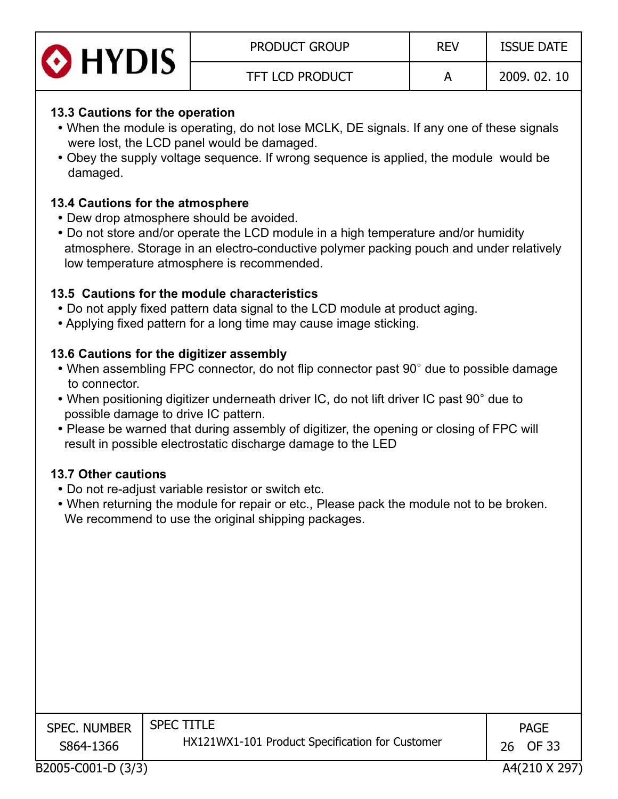| O HYDIS | <b>PRODUCT GROUP</b>   | <b>REV</b> | <b>ISSUE DATE</b> |
|---------|------------------------|------------|-------------------|
|         | <b>TFT LCD PRODUCT</b> |            | 2009.02.10        |

#### **13.3 Cautions for the operation**

- When the module is operating, do not lose MCLK, DE signals. If any one of these signals were lost, the LCD panel would be damaged.
- Obey the supply voltage sequence. If wrong sequence is applied, the module would be damaged.

#### **13.4 Cautions for the atmosphere**

- Dew drop atmosphere should be avoided.
- Do not store and/or operate the LCD module in a high temperature and/or humidity atmosphere. Storage in an electro-conductive polymer packing pouch and under relatively low temperature atmosphere is recommended.

#### **13.5 Cautions for the module characteristics**

- Do not apply fixed pattern data signal to the LCD module at product aging.
- Applying fixed pattern for a long time may cause image sticking.

#### **13.6 Cautions for the digitizer assembly**

- When assembling FPC connector, do not flip connector past 90° due to possible damage to connector.
- When positioning digitizer underneath driver IC, do not lift driver IC past 90° due to possible damage to drive IC pattern.
- Please be warned that during assembly of digitizer, the opening or closing of FPC will result in possible electrostatic discharge damage to the LED

#### **13.7 Other cautions**

- Do not re-adjust variable resistor or switch etc.
- When returning the module for repair or etc., Please pack the module not to be broken. We recommend to use the original shipping packages.

| <b>SPEC. NUMBER</b><br>S864-1366 | <b>SPEC TITLE</b><br>HX121WX1-101 Product Specification for Customer | <b>PAGE</b><br>26 OF 33 |
|----------------------------------|----------------------------------------------------------------------|-------------------------|
|                                  |                                                                      | 1.10101010000           |

B2005-C001-D (3/3) A4(210 X 297)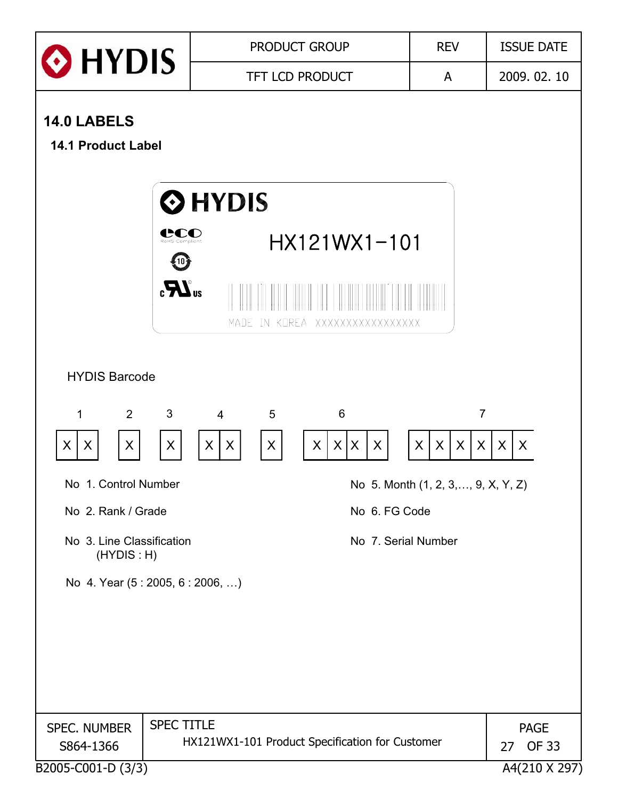| O HYDIS                                  |                         |                          |                   | <b>PRODUCT GROUP</b>                            |                     | <b>REV</b>                                            | <b>ISSUE DATE</b>                 |  |  |
|------------------------------------------|-------------------------|--------------------------|-------------------|-------------------------------------------------|---------------------|-------------------------------------------------------|-----------------------------------|--|--|
|                                          |                         | <b>TFT LCD PRODUCT</b>   |                   |                                                 |                     | A                                                     | 2009.02.10                        |  |  |
| 14.0 LABELS<br><b>14.1 Product Label</b> |                         |                          |                   |                                                 |                     |                                                       |                                   |  |  |
|                                          |                         | <b>O</b> HYDIS           |                   |                                                 |                     |                                                       |                                   |  |  |
|                                          | CCO<br>RoHS Compliant   |                          |                   | HX121WX1-101                                    |                     |                                                       |                                   |  |  |
|                                          | $\mathbf{R}^{\text{u}}$ | MADE                     |                   | IN KOREA XXXXXXXXXXXXXXXXX                      |                     |                                                       |                                   |  |  |
| <b>HYDIS Barcode</b>                     |                         |                          |                   |                                                 |                     |                                                       |                                   |  |  |
| 2<br>$\mathbf 1$<br>X<br>X<br>X          | 3<br>X                  | $\overline{4}$<br>X<br>X | 5<br>$\mathsf{X}$ | 6<br>X X<br>X                                   | X                   | $\overline{7}$<br>$\pmb{\times}$<br>X<br>$\sf X$<br>X | $\sf X$<br>$\sf X$                |  |  |
| No 1. Control Number                     |                         |                          |                   |                                                 |                     | No 5. Month (1, 2, 3, , 9, X, Y, Z)                   |                                   |  |  |
| No 2. Rank / Grade                       |                         |                          |                   |                                                 | No 6. FG Code       |                                                       |                                   |  |  |
| No 3. Line Classification<br>(HYDIS : H) |                         |                          |                   |                                                 | No 7. Serial Number |                                                       |                                   |  |  |
| No 4. Year (5:2005, 6:2006, )            |                         |                          |                   |                                                 |                     |                                                       |                                   |  |  |
|                                          |                         |                          |                   |                                                 |                     |                                                       |                                   |  |  |
|                                          |                         |                          |                   |                                                 |                     |                                                       |                                   |  |  |
|                                          |                         |                          |                   |                                                 |                     |                                                       |                                   |  |  |
| <b>SPEC. NUMBER</b><br>S864-1366         | <b>SPEC TITLE</b>       |                          |                   | HX121WX1-101 Product Specification for Customer |                     |                                                       | <b>PAGE</b><br><b>OF 33</b><br>27 |  |  |
| B2005-C001-D (3/3)                       |                         |                          |                   |                                                 |                     |                                                       | A4(210 X 297)                     |  |  |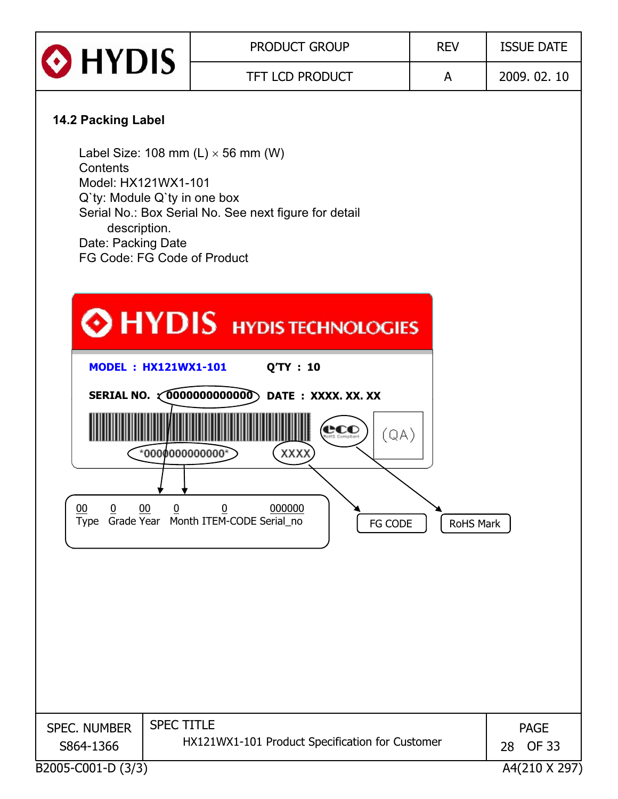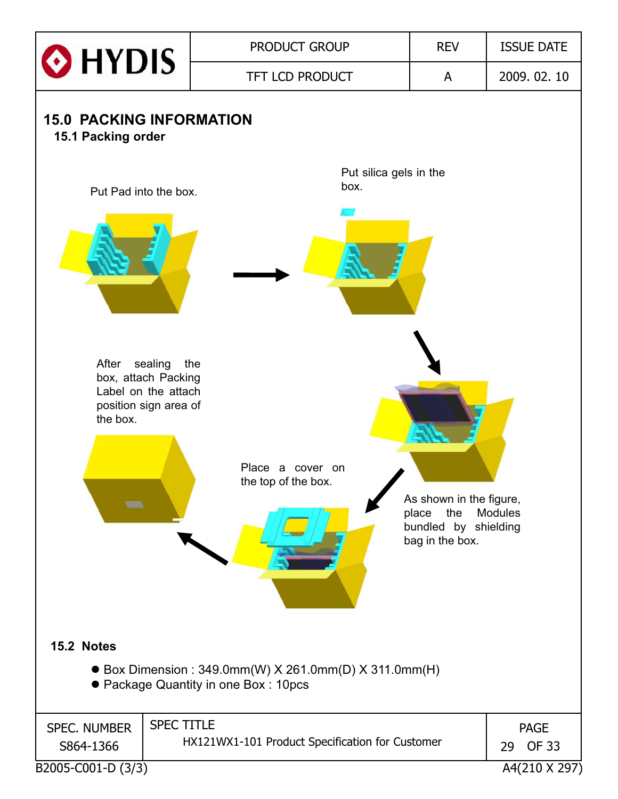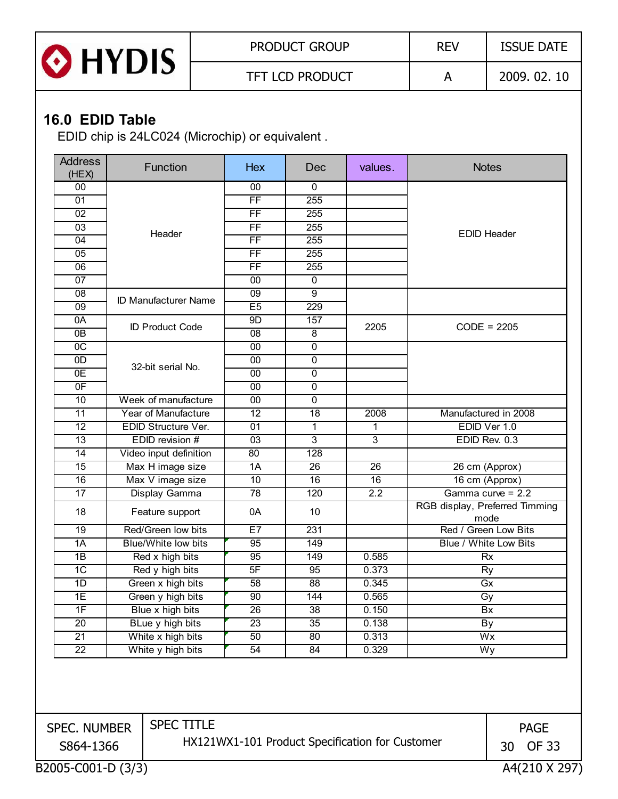

## **16.0 EDID Table**

EDID chip is 24LC024 (Microchip) or equivalent .

| <b>Address</b><br>(HEX) | Function                    | <b>Hex</b>      | Dec              | values.          | <b>Notes</b>                           |  |
|-------------------------|-----------------------------|-----------------|------------------|------------------|----------------------------------------|--|
| 00                      |                             | 00              | $\mathbf{0}$     |                  |                                        |  |
| 01                      |                             | $\overline{FF}$ | 255              |                  |                                        |  |
| 02                      |                             | $\overline{FF}$ | 255              |                  |                                        |  |
| 03                      | Header                      | <b>FF</b>       | 255              |                  | <b>EDID Header</b>                     |  |
| 04                      |                             | $\overline{FF}$ | 255              |                  |                                        |  |
| 05                      |                             | $\overline{FF}$ | 255              |                  |                                        |  |
| 06                      |                             | FF              | 255              |                  |                                        |  |
| 07                      |                             | 00              | 0                |                  |                                        |  |
| 08                      | <b>ID Manufacturer Name</b> | 09              | $\overline{9}$   |                  |                                        |  |
| 09                      |                             | E5              | $\overline{229}$ |                  |                                        |  |
| 0A                      | <b>ID Product Code</b>      | 9 <sub>D</sub>  | 157              | 2205             |                                        |  |
| 0B                      |                             | 08              | $\overline{8}$   |                  | $CODE = 2205$                          |  |
| $\overline{OC}$         |                             | 00              | $\overline{0}$   |                  |                                        |  |
| 0D                      |                             | 00              | $\overline{0}$   |                  |                                        |  |
| 0E                      | 32-bit serial No.           | $\overline{00}$ | $\overline{0}$   |                  |                                        |  |
| 0F                      |                             | 00              | 0                |                  |                                        |  |
| 10                      | Week of manufacture         | $\overline{00}$ | $\overline{0}$   |                  |                                        |  |
| 11                      | Year of Manufacture         | $\overline{12}$ | 18               | 2008             | Manufactured in 2008                   |  |
| 12                      | EDID Structure Ver.         | 01              | 1                | 1                | EDID Ver 1.0                           |  |
| $\overline{13}$         | EDID revision #             | $\overline{03}$ | $\overline{3}$   | $\overline{3}$   | EDID Rev. 0.3                          |  |
| 14                      | Video input definition      | 80              | 128              |                  |                                        |  |
| $\overline{15}$         | Max H image size            | $\overline{1A}$ | 26               | 26               | 26 cm (Approx)                         |  |
| 16                      | Max V image size            | 10              | 16               | 16               | 16 cm (Approx)                         |  |
| 17                      | Display Gamma               | 78              | 120              | $\overline{2.2}$ | Gamma curve = 2.2                      |  |
| 18                      | Feature support             | 0A              | 10               |                  | RGB display, Preferred Timming<br>mode |  |
| 19                      | Red/Green low bits          | E7              | 231              |                  | Red / Green Low Bits                   |  |
| 1A                      | <b>Blue/White low bits</b>  | 95              | 149              |                  | Blue / White Low Bits                  |  |
| 1B                      | Red x high bits             | 95              | 149              | 0.585            | <b>Rx</b>                              |  |
| $\overline{1C}$         | Red y high bits             | 5F              | 95               | 0.373            | Ry                                     |  |
| 1D                      | Green x high bits           | $\overline{58}$ | $\overline{88}$  | 0.345            | Gx                                     |  |
| 1E                      | Green y high bits           | $\overline{90}$ | 144              | 0.565            | Gy                                     |  |
| 1F                      | Blue x high bits            | 26              | 38               | 0.150            | Bx                                     |  |
| 20                      | BLue y high bits            | $\overline{23}$ | $\overline{35}$  | 0.138            | By                                     |  |
| $\overline{21}$         | White x high bits           | 50              | 80               | 0.313            | Wx                                     |  |
| $\overline{22}$         | White y high bits           | 54              | 84               | 0.329            | Wy                                     |  |
|                         |                             |                 |                  |                  |                                        |  |

SPEC. NUMBER S864-1366

SPEC TITLE HX121WX1-101 Product Specification for Customer

PAGE 30 OF 33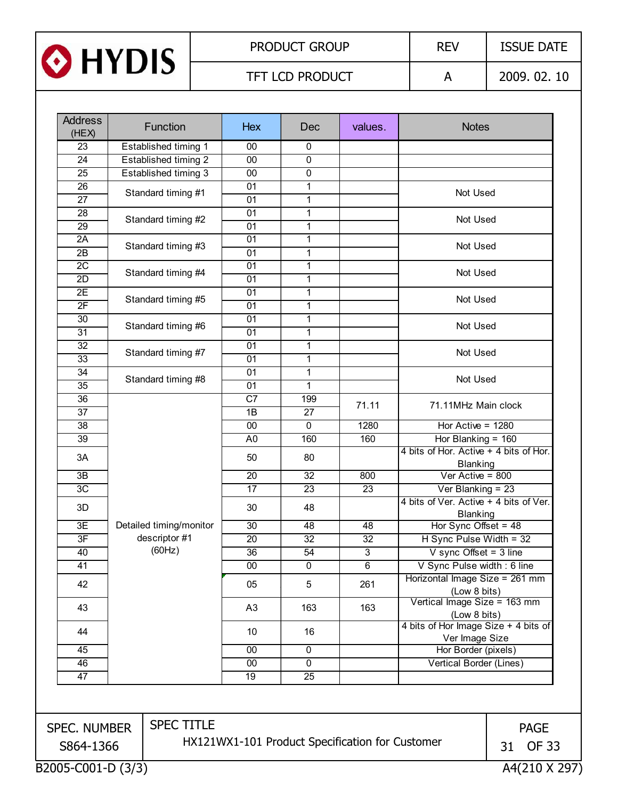

| <b>Address</b><br>(HEX) | <b>Function</b>             | <b>Hex</b>                                      | Dec            | values.        | <b>Notes</b>                                                                                                                                                                                               |                    |  |
|-------------------------|-----------------------------|-------------------------------------------------|----------------|----------------|------------------------------------------------------------------------------------------------------------------------------------------------------------------------------------------------------------|--------------------|--|
| 23                      | Established timing 1        | 00                                              | $\mathbf{0}$   |                |                                                                                                                                                                                                            |                    |  |
| 24                      | <b>Established timing 2</b> | $\overline{00}$                                 | $\mathbf 0$    |                |                                                                                                                                                                                                            |                    |  |
| 25                      | Established timing 3        | $\overline{00}$                                 | $\overline{0}$ |                |                                                                                                                                                                                                            |                    |  |
| $\overline{26}$         |                             | 01                                              | 1              |                | Not Used                                                                                                                                                                                                   |                    |  |
| $\overline{27}$         | Standard timing #1          | 01                                              | 1              |                |                                                                                                                                                                                                            |                    |  |
| 28                      |                             | 01                                              | $\mathbf{1}$   |                |                                                                                                                                                                                                            |                    |  |
| 29                      | Standard timing #2          | 01                                              | 1              |                | Not Used                                                                                                                                                                                                   |                    |  |
| 2A                      |                             | 01                                              | 1              |                |                                                                                                                                                                                                            |                    |  |
| $\overline{2B}$         | Standard timing #3          | $\overline{01}$                                 | 1              |                | Not Used                                                                                                                                                                                                   |                    |  |
| $\overline{2C}$         |                             | $\overline{01}$                                 | 1              |                |                                                                                                                                                                                                            |                    |  |
| 2D                      | Standard timing #4          | 01                                              | 1              |                | Not Used                                                                                                                                                                                                   |                    |  |
| 2E                      |                             | 01                                              | 1              |                | Not Used                                                                                                                                                                                                   |                    |  |
| 2F                      | Standard timing #5          | 01                                              | 1              |                |                                                                                                                                                                                                            |                    |  |
| 30                      |                             | 01                                              | $\mathbf{1}$   |                | Not Used                                                                                                                                                                                                   |                    |  |
| $\overline{31}$         | Standard timing #6          | 01                                              | 1              |                |                                                                                                                                                                                                            |                    |  |
| $\overline{32}$         |                             | 01                                              | 1              |                |                                                                                                                                                                                                            |                    |  |
| $\overline{33}$         | Standard timing #7          | $\overline{01}$                                 | $\mathbf{1}$   |                | Not Used                                                                                                                                                                                                   |                    |  |
| $\overline{34}$         |                             | 01                                              | 1              |                |                                                                                                                                                                                                            |                    |  |
| 35                      | Standard timing #8          | 01                                              | 1              |                | Not Used                                                                                                                                                                                                   |                    |  |
| 36                      |                             | C7                                              | 199            |                |                                                                                                                                                                                                            |                    |  |
| 37                      |                             | 1B                                              | 27             | 71.11          | 71.11MHz Main clock                                                                                                                                                                                        |                    |  |
| 38                      |                             | 00                                              | $\mathbf 0$    | 1280           | Hor $\overline{Active} = 1280$                                                                                                                                                                             |                    |  |
| $\overline{39}$         |                             | A <sub>0</sub>                                  | 160            | 160            | Hor Blanking = $160$                                                                                                                                                                                       |                    |  |
| 3A                      |                             | 50                                              | 80             |                | 4 bits of Hor. Active + 4 bits of Hor.<br><b>Blanking</b>                                                                                                                                                  |                    |  |
| 3B                      |                             | 20                                              | 32             | 800            | Ver Active = $800$<br>Ver Blanking = $23$<br>4 bits of Ver. Active + 4 bits of Ver.<br><b>Blanking</b>                                                                                                     |                    |  |
| 3C                      |                             | 17                                              | 23             | 23             |                                                                                                                                                                                                            |                    |  |
| 3D                      |                             | 30                                              | 48             |                |                                                                                                                                                                                                            |                    |  |
|                         |                             |                                                 |                |                |                                                                                                                                                                                                            |                    |  |
| 3E                      | Detailed timing/monitor     | 30                                              | 48             | 48             | Hor Sync Offset = $48$                                                                                                                                                                                     |                    |  |
| 3F                      | descriptor #1               | 20                                              | 32             | 32             | H Sync Pulse Width = 32                                                                                                                                                                                    |                    |  |
| 40                      | (60Hz)                      | 36                                              | 54             | 3              | V sync Offset = $3$ line                                                                                                                                                                                   |                    |  |
| $\overline{41}$         |                             | $\overline{00}$                                 | $\overline{0}$ | $\overline{6}$ | V Sync Pulse width: 6 line                                                                                                                                                                                 |                    |  |
| 42                      |                             | 05                                              | 5              | 261            | Horizontal Image Size = 261 mm<br>(Low 8 bits)<br>Vertical Image Size = 163 mm<br>(Low 8 bits)<br>4 bits of Hor Image Size + 4 bits of<br>Ver Image Size<br>Hor Border (pixels)<br>Vertical Border (Lines) |                    |  |
| 43                      |                             | A <sub>3</sub>                                  | 163            | 163            |                                                                                                                                                                                                            |                    |  |
| 44                      |                             | 10                                              | 16             |                |                                                                                                                                                                                                            |                    |  |
| 45                      |                             | 00                                              | $\mathbf{0}$   |                |                                                                                                                                                                                                            |                    |  |
| 46                      |                             | 00                                              | $\mathbf 0$    |                |                                                                                                                                                                                                            |                    |  |
| 47                      |                             | 19                                              | 25             |                |                                                                                                                                                                                                            |                    |  |
|                         |                             |                                                 |                |                |                                                                                                                                                                                                            |                    |  |
| <b>SPEC. NUMBER</b>     | <b>SPEC TITLE</b>           |                                                 |                |                |                                                                                                                                                                                                            | <b>PAGE</b>        |  |
| S864-1366               |                             | HX121WX1-101 Product Specification for Customer |                |                |                                                                                                                                                                                                            | <b>OF 33</b><br>31 |  |
| B2005-C001-D (3/3)      |                             |                                                 |                |                |                                                                                                                                                                                                            | A4(210 X 297)      |  |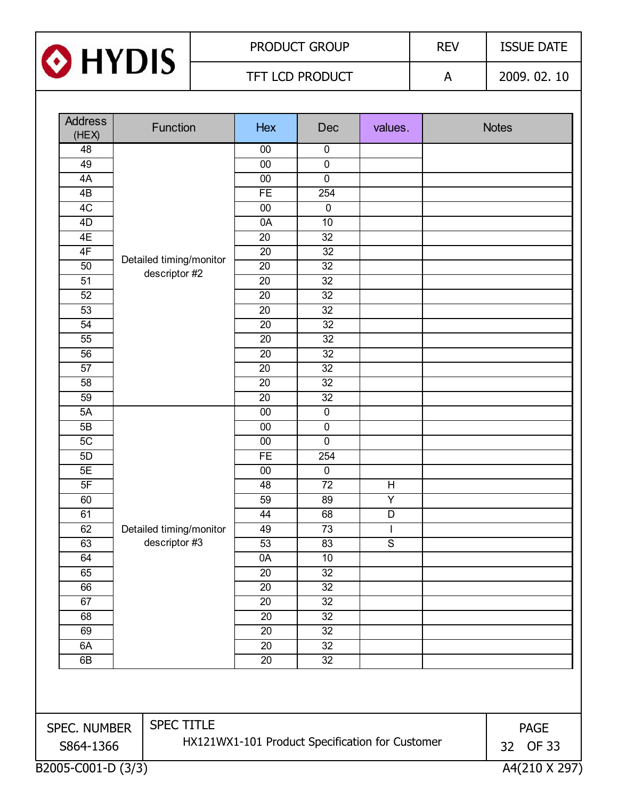

| <b>Address</b><br>(HEX)           |  | Function                | Hex             | Dec             | values.                                         | <b>Notes</b>       |
|-----------------------------------|--|-------------------------|-----------------|-----------------|-------------------------------------------------|--------------------|
| 48                                |  |                         | $00\,$          | $\mathbf 0$     |                                                 |                    |
| 49                                |  |                         | 00              | $\pmb{0}$       |                                                 |                    |
| 4A                                |  |                         | 00              | 0               |                                                 |                    |
| 4B                                |  |                         | <b>FE</b>       | 254             |                                                 |                    |
| 4C                                |  |                         | 00              | $\overline{0}$  |                                                 |                    |
| 4D                                |  |                         | 0A              | 10              |                                                 |                    |
| 4E                                |  |                         | 20              | 32              |                                                 |                    |
| 4F                                |  |                         | 20              | $\overline{32}$ |                                                 |                    |
| 50                                |  | Detailed timing/monitor | 20              | $\overline{32}$ |                                                 |                    |
| $\overline{51}$                   |  | descriptor #2           | $\overline{20}$ | $\overline{32}$ |                                                 |                    |
| 52                                |  |                         | 20              | $\overline{32}$ |                                                 |                    |
| 53                                |  |                         | $\overline{20}$ | $\overline{32}$ |                                                 |                    |
| 54                                |  |                         | 20              | 32              |                                                 |                    |
| 55                                |  |                         | $\overline{20}$ | $\overline{32}$ |                                                 |                    |
| 56                                |  |                         | $\overline{20}$ | $\overline{32}$ |                                                 |                    |
| 57                                |  |                         | 20              | $\overline{32}$ |                                                 |                    |
| 58                                |  |                         | 20              | $\overline{32}$ |                                                 |                    |
| 59                                |  |                         | 20              | 32              |                                                 |                    |
| 5A                                |  |                         | $00\,$          | $\overline{0}$  |                                                 |                    |
| 5B                                |  |                         | 00              | 0               |                                                 |                    |
| 5C                                |  |                         | 00              | 0               |                                                 |                    |
| 5D                                |  |                         | FE              | 254             |                                                 |                    |
| 5E                                |  |                         | 00              | $\pmb{0}$       |                                                 |                    |
| 5F                                |  |                         | 48              | $\overline{72}$ | H                                               |                    |
| 60                                |  |                         | 59              | 89              | $\overline{Y}$                                  |                    |
| 61                                |  |                         | 44              | 68              | $\overline{D}$                                  |                    |
| 62                                |  | Detailed timing/monitor | 49              | $\overline{73}$ | $\mathsf{I}$                                    |                    |
| 63                                |  | descriptor #3           | 53              | 83              | $\mathbb S$                                     |                    |
| 64                                |  |                         | 0A              | 10              |                                                 |                    |
| 65                                |  |                         | 20              | 32              |                                                 |                    |
| 66                                |  |                         | $\overline{20}$ | $\overline{32}$ |                                                 |                    |
| 67                                |  |                         | 20              | $\overline{32}$ |                                                 |                    |
| 68                                |  |                         | 20              | 32              |                                                 |                    |
| 69                                |  |                         | 20              | $\overline{32}$ |                                                 |                    |
| 6A                                |  |                         | 20              | $32\,$          |                                                 |                    |
| 6B                                |  |                         | 20              | $\overline{32}$ |                                                 |                    |
|                                   |  |                         |                 |                 |                                                 |                    |
| <b>SPEC TITLE</b><br>SPEC. NUMBER |  |                         |                 |                 |                                                 | <b>PAGE</b>        |
| S864-1366                         |  |                         |                 |                 | HX121WX1-101 Product Specification for Customer | <b>OF 33</b><br>32 |
| B2005-C001-D (3/3)                |  |                         |                 |                 |                                                 | A4(210 X 297)      |